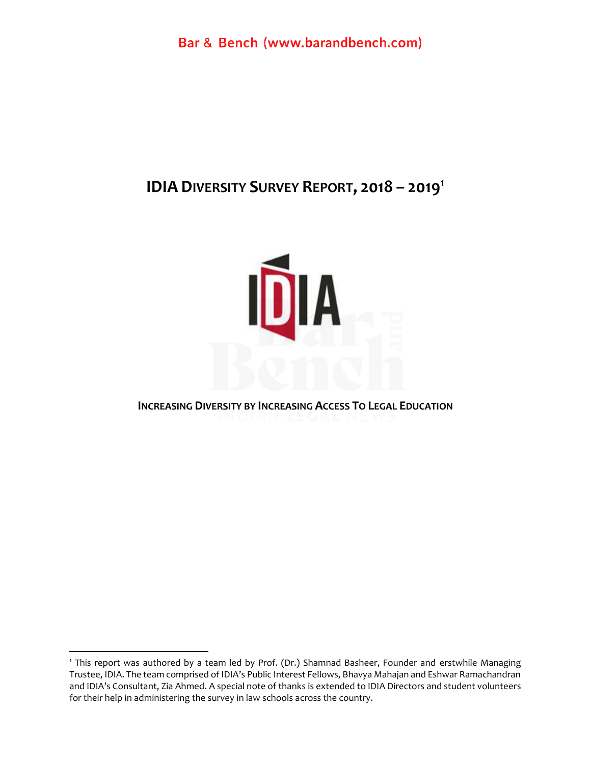# **IDIA DIVERSITY SURVEY REPORT, 2018 – 2019 1**



#### **INCREASING DIVERSITY BY INCREASING ACCESS TO LEGAL EDUCATION**

<sup>&</sup>lt;sup>1</sup> This report was authored by a team led by Prof. (Dr.) Shamnad Basheer, Founder and erstwhile Managing Trustee, IDIA. The team comprised of IDIA's Public Interest Fellows, Bhavya Mahajan and Eshwar Ramachandran and IDIA's Consultant, Zia Ahmed. A special note of thanks is extended to IDIA Directors and student volunteers for their help in administering the survey in law schools across the country.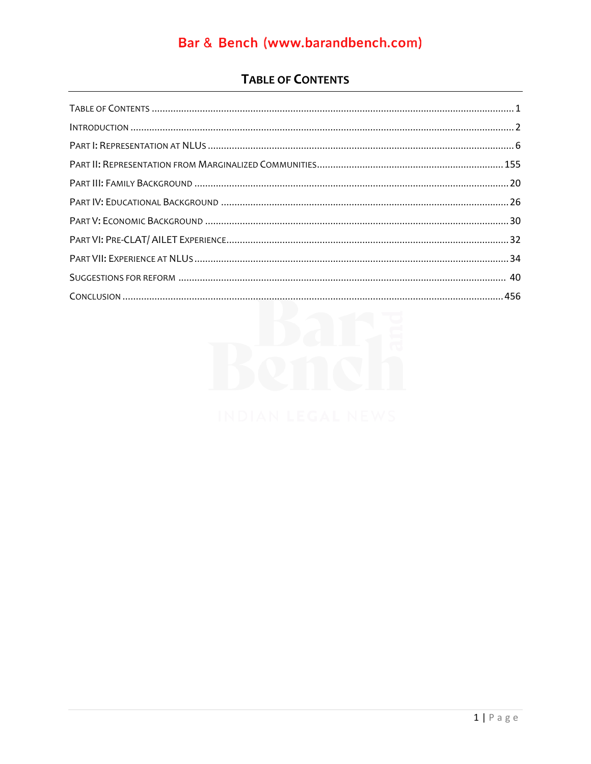### **TABLE OF CONTENTS**

<span id="page-1-0"></span>

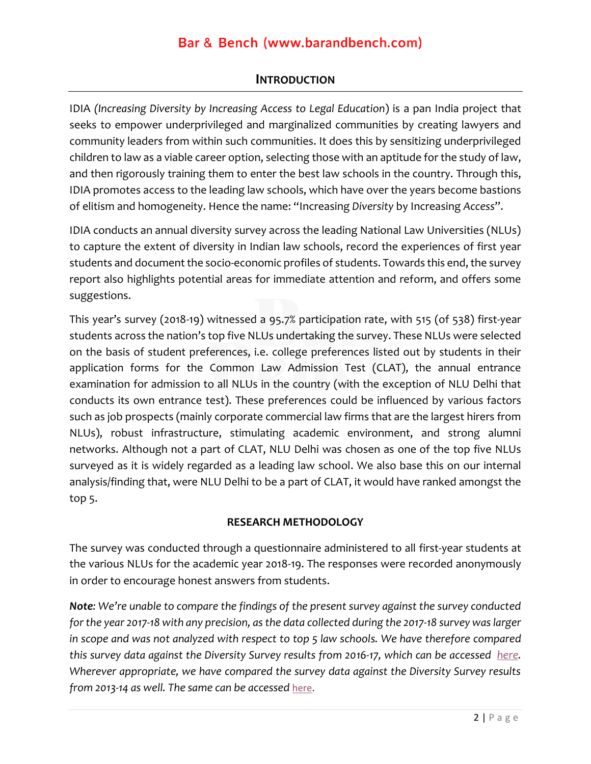#### **INTRODUCTION**

<span id="page-2-0"></span>IDIA *(Increasing Diversity by Increasing Access to Legal Education*) is a pan India project that seeks to empower underprivileged and marginalized communities by creating lawyers and community leaders from within such communities. It does this by sensitizing underprivileged children to law as a viable career option, selecting those with an aptitude for the study of law, and then rigorously training them to enter the best law schools in the country. Through this, IDIA promotes access to the leading law schools, which have over the years become bastions of elitism and homogeneity. Hence the name: "Increasing *Diversity* by Increasing *Access*".

IDIA conducts an annual diversity survey across the leading National Law Universities (NLUs) to capture the extent of diversity in Indian law schools, record the experiences of first year students and document the socio-economic profiles of students. Towards this end, the survey report also highlights potential areas for immediate attention and reform, and offers some suggestions.

This year's survey (2018-19) witnessed a 95.7% participation rate, with 515 (of 538) first-year students across the nation's top five NLUs undertaking the survey. These NLUs were selected on the basis of student preferences, i.e. college preferences listed out by students in their application forms for the Common Law Admission Test (CLAT), the annual entrance examination for admission to all NLUs in the country (with the exception of NLU Delhi that conducts its own entrance test). These preferences could be influenced by various factors such as job prospects (mainly corporate commercial law firms that are the largest hirers from NLUs), robust infrastructure, stimulating academic environment, and strong alumni networks. Although not a part of CLAT, NLU Delhi was chosen as one of the top five NLUs surveyed as it is widely regarded as a leading law school. We also base this on our internal analysis/finding that, were NLU Delhi to be a part of CLAT, it would have ranked amongst the top 5.

#### **RESEARCH METHODOLOGY**

The survey was conducted through a questionnaire administered to all first-year students at the various NLUs for the academic year 2018-19. The responses were recorded anonymously in order to encourage honest answers from students.

*Note: We're unable to compare the findings of the present survey against the survey conducted for the year 2017-18 with any precision, as the data collected during the 2017-18 survey was larger in scope and was not analyzed with respect to top 5 law schools. We have therefore compared this survey data against the Diversity Survey results from 2016-17, which can be accessed [here.](https://www.idialaw.org/wp-content/uploads/2020/04/2016-17-diversity-survey-.pdf) Wherever appropriate, we have compared the survey data against the Diversity Survey results from 2013-14 as well. The same can be accessed* [here.](https://www.idialaw.org/wp-content/uploads/2018/06/top-5-analysis.pdf)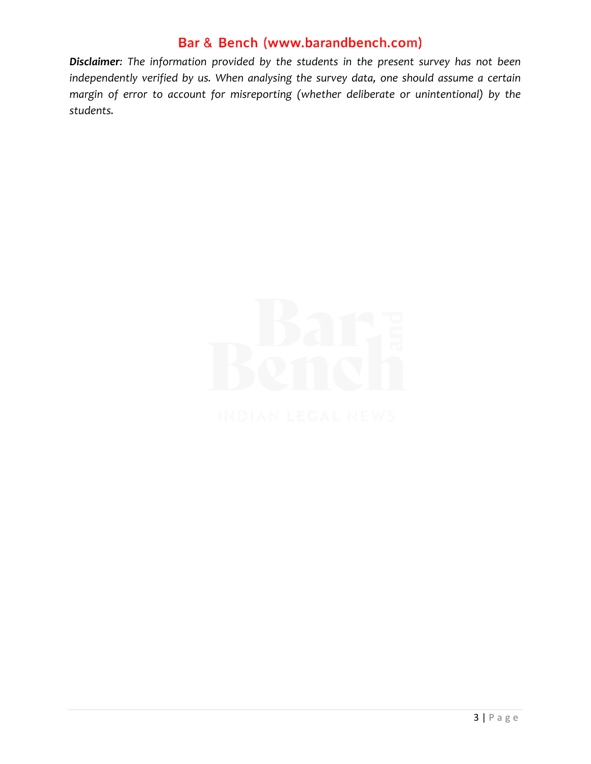*Disclaimer: The information provided by the students in the present survey has not been independently verified by us. When analysing the survey data, one should assume a certain margin of error to account for misreporting (whether deliberate or unintentional) by the students.* 

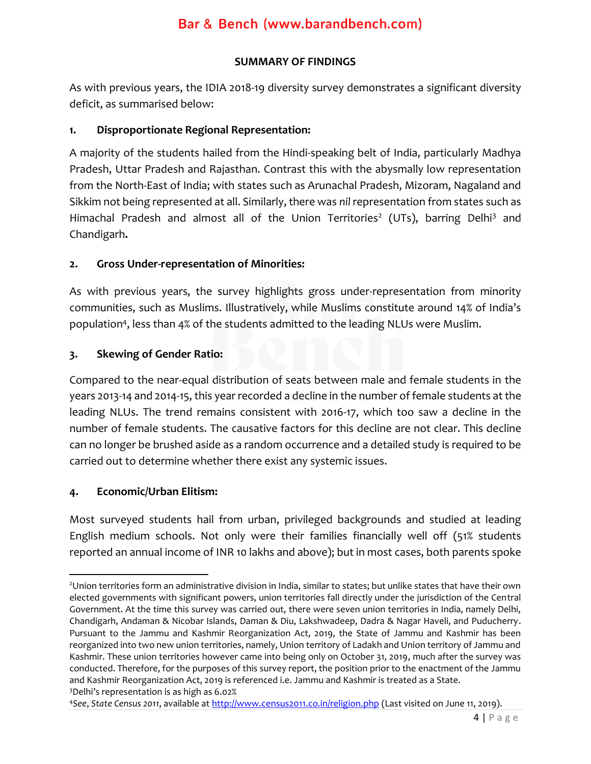#### **SUMMARY OF FINDINGS**

As with previous years, the IDIA 2018-19 diversity survey demonstrates a significant diversity deficit, as summarised below:

#### **1. Disproportionate Regional Representation:**

A majority of the students hailed from the Hindi-speaking belt of India, particularly Madhya Pradesh, Uttar Pradesh and Rajasthan. Contrast this with the abysmally low representation from the North-East of India; with states such as Arunachal Pradesh, Mizoram, Nagaland and Sikkim not being represented at all. Similarly, there was *nil* representation from states such as Himachal Pradesh and almost all of the Union Territories<sup>2</sup> (UTs), barring Delhi<sup>3</sup> and Chandigarh**.** 

#### **2. Gross Under-representation of Minorities:**

As with previous years, the survey highlights gross under-representation from minority communities, such as Muslims. Illustratively, while Muslims constitute around 14% of India's population<sup>4</sup> , less than 4% of the students admitted to the leading NLUs were Muslim.

#### **3. Skewing of Gender Ratio:**

Compared to the near-equal distribution of seats between male and female students in the years 2013-14 and 2014-15, this year recorded a decline in the number of female students at the leading NLUs. The trend remains consistent with 2016-17, which too saw a decline in the number of female students. The causative factors for this decline are not clear. This decline can no longer be brushed aside as a random occurrence and a detailed study is required to be carried out to determine whether there exist any systemic issues.

### **4. Economic/Urban Elitism:**

Most surveyed students hail from urban, privileged backgrounds and studied at leading English medium schools. Not only were their families financially well off (51% students reported an annual income of INR 10 lakhs and above); but in most cases, both parents spoke

<sup>4</sup>*See*, *State Census 2011*, available a[t http://www.census2011.co.in/religion.php](http://www.census2011.co.in/religion.php) (Last visited on June 11, 2019).

<sup>2</sup>Union territories form an administrative division in India, similar to states; but unlike states that have their own elected governments with significant powers, union territories fall directly under the jurisdiction of the Central Government. At the time this survey was carried out, there were seven union territories in India, namely Delhi, Chandigarh, Andaman & Nicobar Islands, Daman & Diu, Lakshwadeep, Dadra & Nagar Haveli, and Puducherry. Pursuant to the Jammu and Kashmir Reorganization Act, 2019, the State of Jammu and Kashmir has been reorganized into two new union territories, namely, Union territory of Ladakh and Union territory of Jammu and Kashmir. These union territories however came into being only on October 31, 2019, much after the survey was conducted. Therefore, for the purposes of this survey report, the position prior to the enactment of the Jammu and Kashmir Reorganization Act, 2019 is referenced i.e. Jammu and Kashmir is treated as a State. <sup>3</sup>Delhi's representation is as high as 6.02%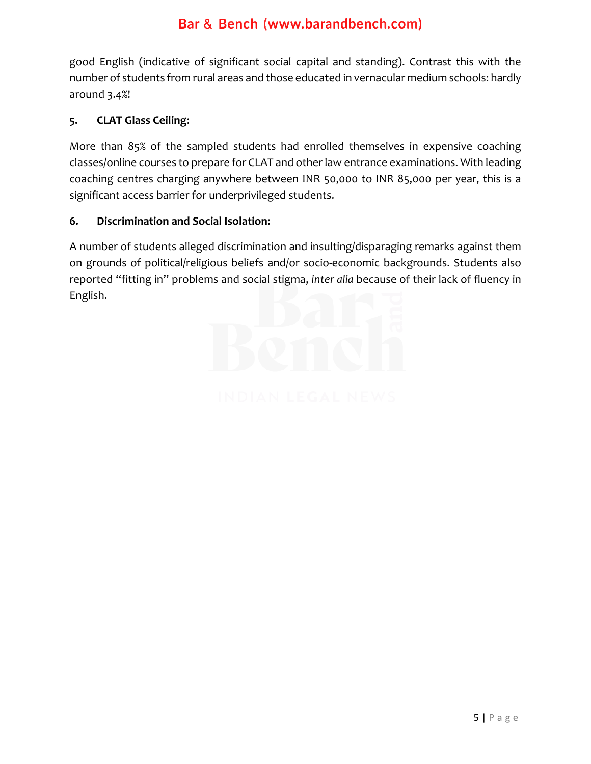good English (indicative of significant social capital and standing). Contrast this with the number of students from rural areas and those educated in vernacular medium schools: hardly around 3.4%!

#### **5. CLAT Glass Ceiling**:

More than 85% of the sampled students had enrolled themselves in expensive coaching classes/online courses to prepare for CLAT and other law entrance examinations. With leading coaching centres charging anywhere between INR 50,000 to INR 85,000 per year, this is a significant access barrier for underprivileged students.

#### **6. Discrimination and Social Isolation:**

A number of students alleged discrimination and insulting/disparaging remarks against them on grounds of political/religious beliefs and/or socio-economic backgrounds. Students also reported "fitting in" problems and social stigma, *inter alia* because of their lack of fluency in English.

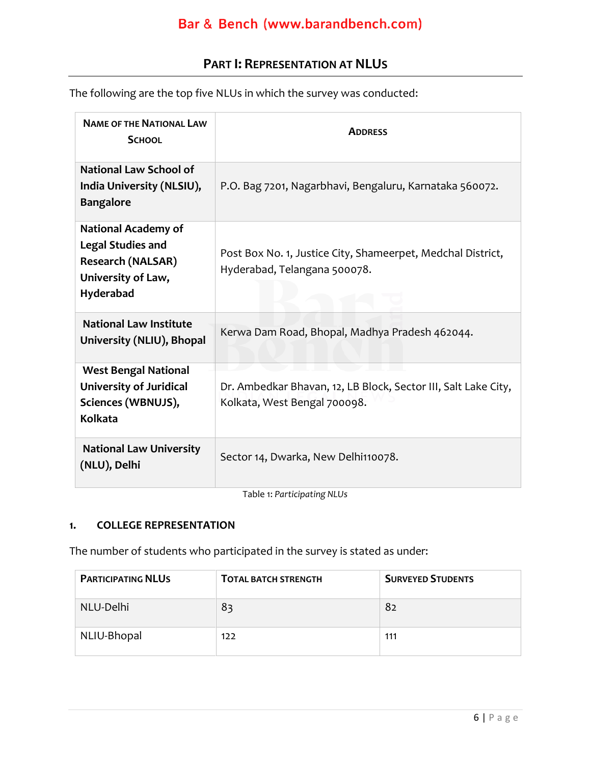### **PART I: REPRESENTATION AT NLUS**

<span id="page-6-0"></span>The following are the top five NLUs in which the survey was conducted:

| <b>NAME OF THE NATIONAL LAW</b><br><b>SCHOOL</b>                                                                      | <b>ADDRESS</b>                                                                                 |
|-----------------------------------------------------------------------------------------------------------------------|------------------------------------------------------------------------------------------------|
| <b>National Law School of</b><br>India University (NLSIU),<br><b>Bangalore</b>                                        | P.O. Bag 7201, Nagarbhavi, Bengaluru, Karnataka 560072.                                        |
| <b>National Academy of</b><br><b>Legal Studies and</b><br><b>Research (NALSAR)</b><br>University of Law,<br>Hyderabad | Post Box No. 1, Justice City, Shameerpet, Medchal District,<br>Hyderabad, Telangana 500078.    |
| <b>National Law Institute</b><br>University (NLIU), Bhopal                                                            | Kerwa Dam Road, Bhopal, Madhya Pradesh 462044.                                                 |
| <b>West Bengal National</b><br><b>University of Juridical</b><br>Sciences (WBNUJS),<br><b>Kolkata</b>                 | Dr. Ambedkar Bhavan, 12, LB Block, Sector III, Salt Lake City,<br>Kolkata, West Bengal 700098. |
| <b>National Law University</b><br>(NLU), Delhi                                                                        | Sector 14, Dwarka, New Delhi110078.                                                            |

Table 1: *Participating NLUs*

#### **1. COLLEGE REPRESENTATION**

The number of students who participated in the survey is stated as under:

| <b>PARTICIPATING NLUS</b> | <b>TOTAL BATCH STRENGTH</b> | <b>SURVEYED STUDENTS</b> |
|---------------------------|-----------------------------|--------------------------|
| NLU-Delhi                 | 83                          | 82                       |
| NLIU-Bhopal               | 122                         | 111                      |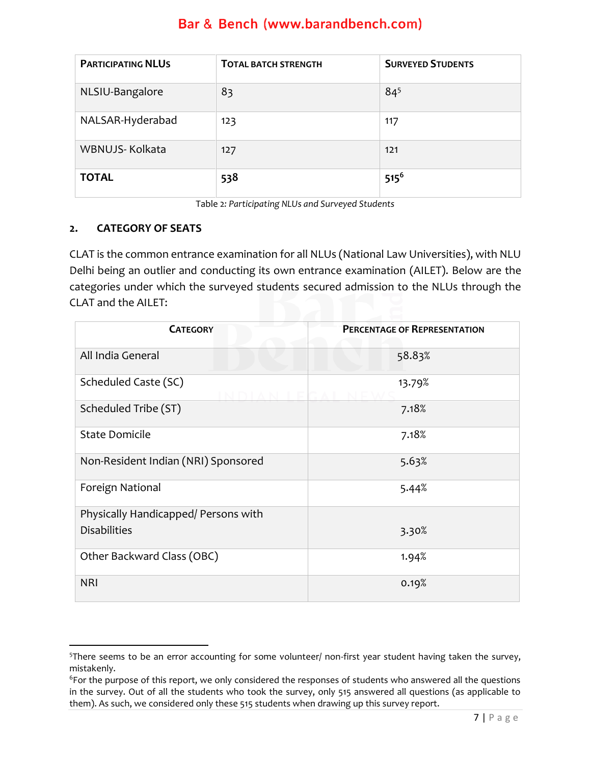| <b>PARTICIPATING NLUS</b> | <b>TOTAL BATCH STRENGTH</b> | <b>SURVEYED STUDENTS</b> |
|---------------------------|-----------------------------|--------------------------|
| NLSIU-Bangalore           | 83                          | $84^{5}$                 |
| NALSAR-Hyderabad          | 123                         | 117                      |
| WBNUJS-Kolkata            | 127                         | 121                      |
| <b>TOTAL</b>              | 538                         | $515^6$                  |

Table 2*: Participating NLUs and Surveyed Students*

#### **2. CATEGORY OF SEATS**

CLAT is the common entrance examination for all NLUs (National Law Universities), with NLU Delhi being an outlier and conducting its own entrance examination (AILET). Below are the categories under which the surveyed students secured admission to the NLUs through the CLAT and the AILET:

| <b>CATEGORY</b>                      | <b>PERCENTAGE OF REPRESENTATION</b> |
|--------------------------------------|-------------------------------------|
| All India General                    | 58.83%                              |
| Scheduled Caste (SC)                 | 13.79%                              |
| Scheduled Tribe (ST)                 | 7.18%                               |
| <b>State Domicile</b>                | 7.18%                               |
| Non-Resident Indian (NRI) Sponsored  | 5.63%                               |
| Foreign National                     | 5.44%                               |
| Physically Handicapped/ Persons with |                                     |
| <b>Disabilities</b>                  | 3.30%                               |
| Other Backward Class (OBC)           | 1.94%                               |
| <b>NRI</b>                           | 0.19%                               |

<sup>5</sup>There seems to be an error accounting for some volunteer/ non-first year student having taken the survey, mistakenly.

<sup>6</sup>For the purpose of this report, we only considered the responses of students who answered all the questions in the survey. Out of all the students who took the survey, only 515 answered all questions (as applicable to them). As such, we considered only these 515 students when drawing up this survey report.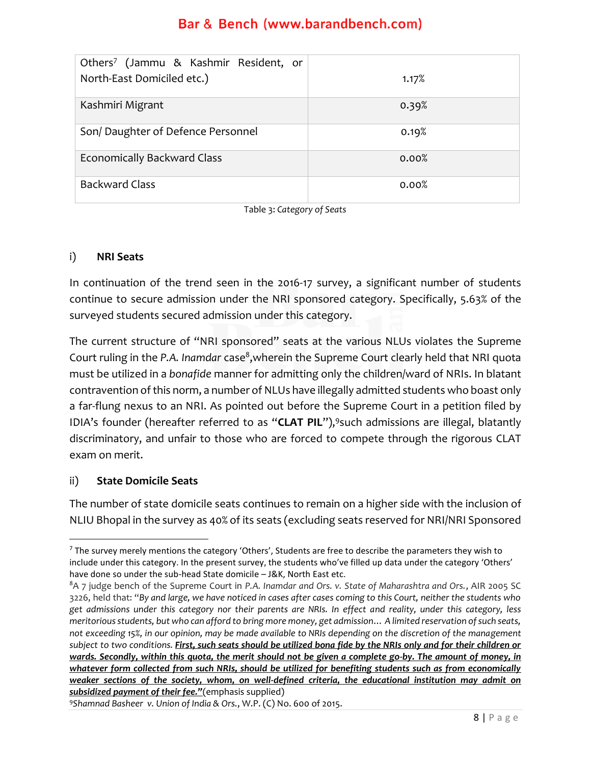| Others <sup>7</sup> (Jammu & Kashmir Resident, or |       |
|---------------------------------------------------|-------|
| North-East Domiciled etc.)                        | 1.17% |
|                                                   |       |
| Kashmiri Migrant                                  | 0.39% |
| Son/Daughter of Defence Personnel                 | 0.19% |
| <b>Economically Backward Class</b>                | 0.00% |
| <b>Backward Class</b>                             | 0.00% |

Table 3: *Category of Seats*

#### i) **NRI Seats**

In continuation of the trend seen in the 2016-17 survey, a significant number of students continue to secure admission under the NRI sponsored category. Specifically, 5.63% of the surveyed students secured admission under this category.

The current structure of "NRI sponsored" seats at the various NLUs violates the Supreme Court ruling in the P.A. Inamdar case<sup>8</sup>,wherein the Supreme Court clearly held that NRI quota must be utilized in a *bonafide* manner for admitting only the children/ward of NRIs. In blatant contravention of this norm, a number of NLUs have illegally admitted students who boast only a far-flung nexus to an NRI. As pointed out before the Supreme Court in a petition filed by IDIA's founder (hereafter referred to as "**CLAT PIL**"), 9 such admissions are illegal, blatantly discriminatory, and unfair to those who are forced to compete through the rigorous CLAT exam on merit.

#### ii) **State Domicile Seats**

The number of state domicile seats continues to remain on a higher side with the inclusion of NLIU Bhopal in the survey as 40% of its seats (excluding seats reserved for NRI/NRI Sponsored

 $<sup>7</sup>$  The survey merely mentions the category 'Others', Students are free to describe the parameters they wish to</sup> include under this category. In the present survey, the students who've filled up data under the category 'Others' have done so under the sub-head State domicile – J&K, North East etc.

<sup>8</sup>A 7 judge bench of the Supreme Court in *P.A. Inamdar and Ors. v. State of Maharashtra and Ors.*, AIR 2005 SC 3226, held that: "*By and large, we have noticed in cases after cases coming to this Court, neither the students who get admissions under this category nor their parents are NRIs. In effect and reality, under this category, less meritorious students, but who can afford to bring more money, get admission… A limited reservation of such seats, not exceeding 15%, in our opinion, may be made available to NRIs depending on the discretion of the management subject to two conditions. First, such seats should be utilized bona fide by the NRIs only and for their children or wards. Secondly, within this quota, the merit should not be given a complete go-by. The amount of money, in whatever form collected from such NRIs, should be utilized for benefiting students such as from economically weaker sections of the society, whom, on well-defined criteria, the educational institution may admit on subsidized payment of their fee."*(emphasis supplied)

<sup>9</sup>*Shamnad Basheer v. Union of India & Ors.*, W.P. (C) No. 600 of 2015.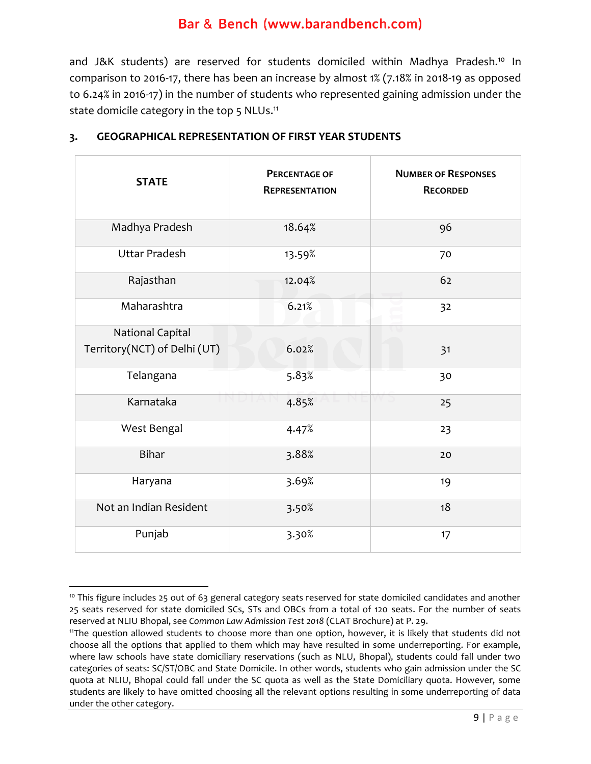and J&K students) are reserved for students domiciled within Madhya Pradesh.<sup>10</sup> In comparison to 2016-17, there has been an increase by almost 1% (7.18% in 2018-19 as opposed to 6.24% in 2016-17) in the number of students who represented gaining admission under the state domicile category in the top 5  $NLUs.^{11}$ 

| <b>STATE</b>                 | <b>PERCENTAGE OF</b><br><b>REPRESENTATION</b> | <b>NUMBER OF RESPONSES</b><br><b>RECORDED</b> |
|------------------------------|-----------------------------------------------|-----------------------------------------------|
| Madhya Pradesh               | 18.64%                                        | 96                                            |
| <b>Uttar Pradesh</b>         | 13.59%                                        | 70                                            |
| Rajasthan                    | 12.04%                                        | 62                                            |
| Maharashtra                  | 6.21%                                         | 32                                            |
| <b>National Capital</b>      |                                               |                                               |
| Territory(NCT) of Delhi (UT) | 6.02%                                         | 31                                            |
| Telangana                    | 5.83%                                         | 30                                            |
| Karnataka                    | 4.85%                                         | 25                                            |
| West Bengal                  | 4.47%                                         | 23                                            |
| <b>Bihar</b>                 | 3.88%                                         | 20                                            |
| Haryana                      | 3.69%                                         | 19                                            |
| Not an Indian Resident       | 3.50%                                         | 18                                            |
| Punjab                       | 3.30%                                         | 17                                            |

#### **3. GEOGRAPHICAL REPRESENTATION OF FIRST YEAR STUDENTS**

<sup>&</sup>lt;sup>10</sup> This figure includes 25 out of 63 general category seats reserved for state domiciled candidates and another 25 seats reserved for state domiciled SCs, STs and OBCs from a total of 120 seats. For the number of seats reserved at NLIU Bhopal, see *Common Law Admission Test 2018* (CLAT Brochure) at P. 29.

<sup>11</sup>The question allowed students to choose more than one option, however, it is likely that students did not choose all the options that applied to them which may have resulted in some underreporting. For example, where law schools have state domiciliary reservations (such as NLU, Bhopal), students could fall under two categories of seats: SC/ST/OBC and State Domicile. In other words, students who gain admission under the SC quota at NLIU, Bhopal could fall under the SC quota as well as the State Domiciliary quota. However, some students are likely to have omitted choosing all the relevant options resulting in some underreporting of data under the other category.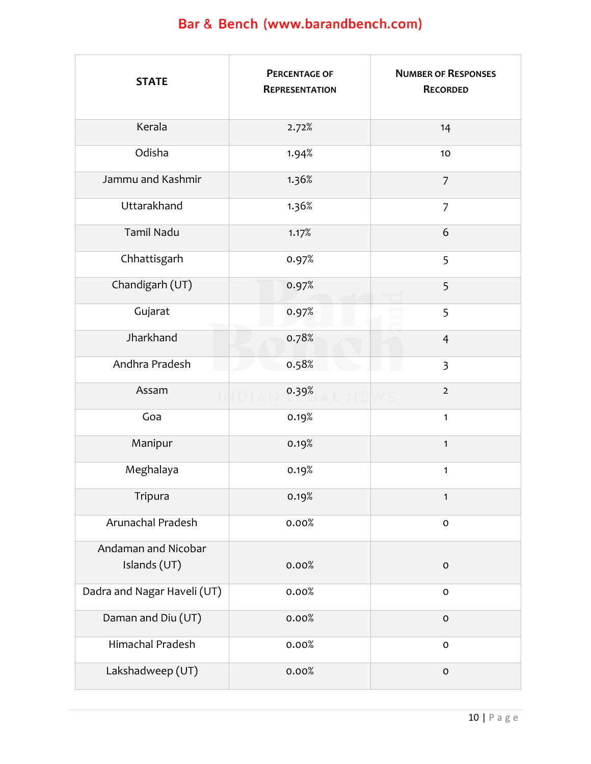| <b>STATE</b>                        | <b>PERCENTAGE OF</b><br><b>REPRESENTATION</b> | <b>NUMBER OF RESPONSES</b><br><b>RECORDED</b> |
|-------------------------------------|-----------------------------------------------|-----------------------------------------------|
| Kerala                              | 2.72%                                         | 14                                            |
| Odisha                              | 1.94%                                         | 10                                            |
| Jammu and Kashmir                   | 1.36%                                         | $\overline{7}$                                |
| Uttarakhand                         | 1.36%                                         | $\overline{7}$                                |
| <b>Tamil Nadu</b>                   | 1.17%                                         | 6                                             |
| Chhattisgarh                        | 0.97%                                         | 5                                             |
| Chandigarh (UT)                     | 0.97%                                         | 5                                             |
| Gujarat                             | 0.97%                                         | 5                                             |
| Jharkhand                           | 0.78%                                         | $\overline{4}$                                |
| Andhra Pradesh                      | 0.58%                                         | l.<br>$\overline{\mathbf{3}}$                 |
| Assam                               | 0.39%                                         | $\overline{2}$                                |
| Goa                                 | 0.19%                                         | $\mathbf{1}$                                  |
| Manipur                             | 0.19%                                         | $\mathbf{1}$                                  |
| Meghalaya                           | 0.19%                                         | $\mathbf{1}$                                  |
| Tripura                             | 0.19%                                         | $\mathbf{1}$                                  |
| Arunachal Pradesh                   | 0.00%                                         | $\mathsf{O}\xspace$                           |
| Andaman and Nicobar<br>Islands (UT) | 0.00%                                         | $\mathsf{O}\xspace$                           |
| Dadra and Nagar Haveli (UT)         | 0.00%                                         | $\mathbf O$                                   |
| Daman and Diu (UT)                  | 0.00%                                         | $\mathsf{O}\xspace$                           |
| Himachal Pradesh                    | 0.00%                                         | $\mathsf{o}\xspace$                           |
| Lakshadweep (UT)                    | 0.00%                                         | $\mathsf{O}\xspace$                           |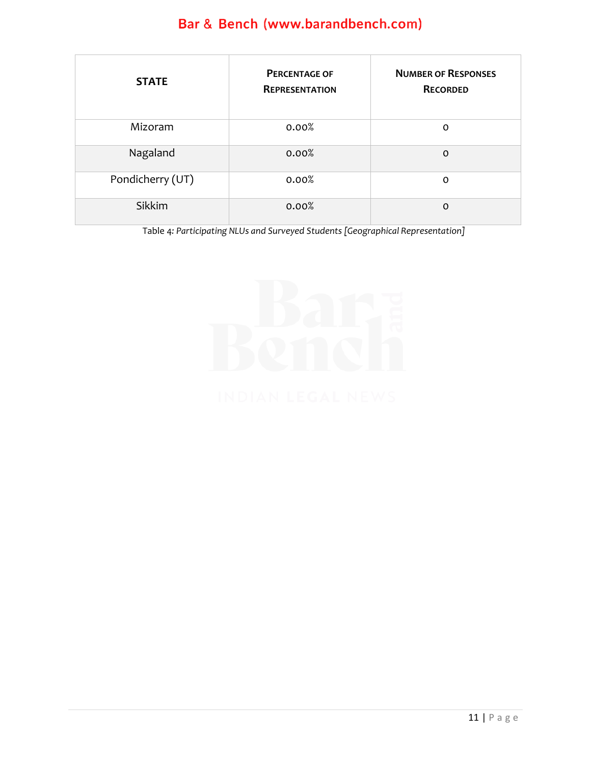| <b>STATE</b>     | <b>PERCENTAGE OF</b><br><b>REPRESENTATION</b> | <b>NUMBER OF RESPONSES</b><br><b>RECORDED</b> |
|------------------|-----------------------------------------------|-----------------------------------------------|
| Mizoram          | 0.00%                                         | O                                             |
| Nagaland         | 0.00%                                         | $\Omega$                                      |
| Pondicherry (UT) | 0.00%                                         | O                                             |
| <b>Sikkim</b>    | 0.00%                                         | $\Omega$                                      |

Table 4*: Participating NLUs and Surveyed Students [Geographical Representation]*

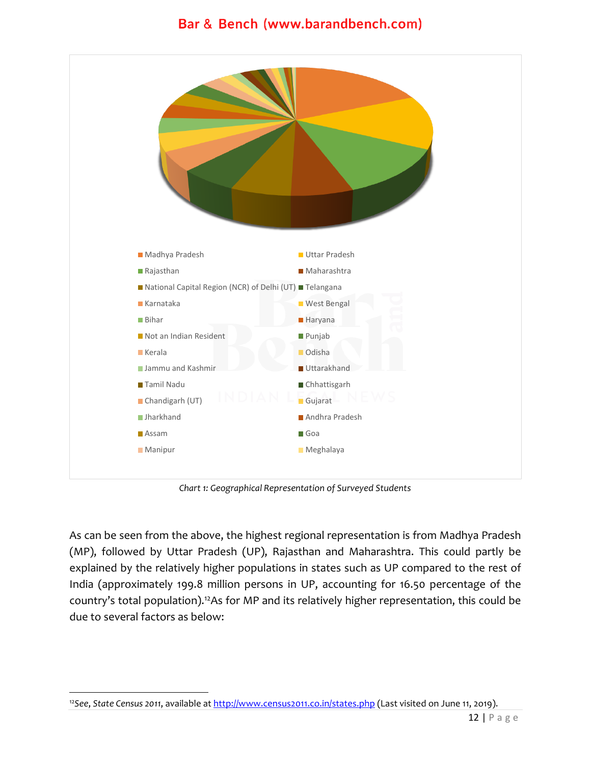

*Chart 1: Geographical Representation of Surveyed Students*

As can be seen from the above, the highest regional representation is from Madhya Pradesh (MP), followed by Uttar Pradesh (UP), Rajasthan and Maharashtra. This could partly be explained by the relatively higher populations in states such as UP compared to the rest of India (approximately 199.8 million persons in UP, accounting for 16.50 percentage of the country's total population).<sup>12</sup>As for MP and its relatively higher representation, this could be due to several factors as below:

<sup>12</sup>*See*, *State Census 2011*, available a[t http://www.census2011.co.in/states.php](http://www.census2011.co.in/states.php) (Last visited on June 11, 2o19).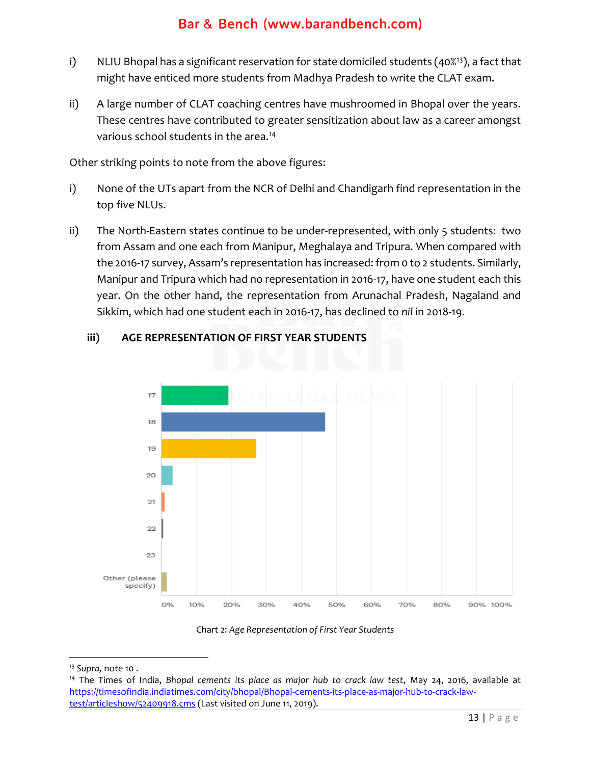- i) NLIU Bhopal has a significant reservation for state domiciled students  $(40\%)$ , a fact that might have enticed more students from Madhya Pradesh to write the CLAT exam.
- ii) A large number of CLAT coaching centres have mushroomed in Bhopal over the years. These centres have contributed to greater sensitization about law as a career amongst various school students in the area.<sup>14</sup>

Other striking points to note from the above figures:

- i) None of the UTs apart from the NCR of Delhi and Chandigarh find representation in the top five NLUs.
- ii) The North-Eastern states continue to be under-represented, with only 5 students: two from Assam and one each from Manipur, Meghalaya and Tripura. When compared with the 2016-17 survey, Assam's representation has increased: from 0 to 2 students. Similarly, Manipur and Tripura which had no representation in 2016-17, have one student each this year. On the other hand, the representation from Arunachal Pradesh, Nagaland and Sikkim, which had one student each in 2016-17, has declined to *nil* in 2018-19.



#### **iii) AGE REPRESENTATION OF FIRST YEAR STUDENTS**

Chart 2: *Age Representation of First Year Students*

<sup>13</sup> *Supra,* note 10 .

<sup>14</sup> The Times of India, *Bhopal cements its place as major hub to crack law test*, May 24, 2016, available at [https://timesofindia.indiatimes.com/city/bhopal/Bhopal-cements-its-place-as-major-hub-to-crack-law](https://timesofindia.indiatimes.com/city/bhopal/Bhopal-cements-its-place-as-major-hub-to-crack-law-test/articleshow/52409918.cms)[test/articleshow/52409918.cms](https://timesofindia.indiatimes.com/city/bhopal/Bhopal-cements-its-place-as-major-hub-to-crack-law-test/articleshow/52409918.cms) (Last visited on June 11, 2019).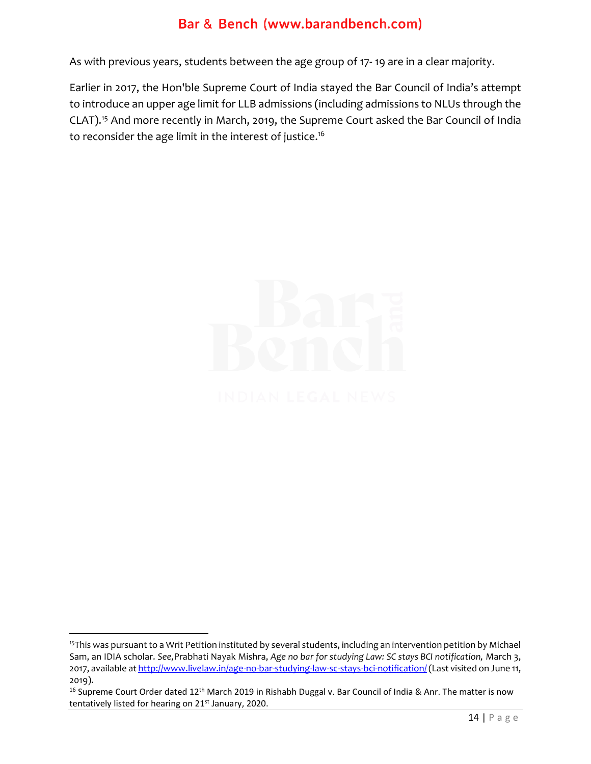As with previous years, students between the age group of 17- 19 are in a clear majority.

Earlier in 2017, the Hon'ble Supreme Court of India stayed the Bar Council of India's attempt to introduce an upper age limit for LLB admissions (including admissions to NLUs through the CLAT).<sup>15</sup> And more recently in March, 2019, the Supreme Court asked the Bar Council of India to reconsider the age limit in the interest of justice. 16



<sup>&</sup>lt;sup>15</sup>This was pursuant to a Writ Petition instituted by several students, including an intervention petition by Michael Sam, an IDIA scholar. *See,*Prabhati Nayak Mishra, *Age no bar for studying Law: SC stays BCI notification,* March 3, 2017, available at http://www.livelaw.in/age-no-bar-studying-law-sc-stays-bci-notification/ (Last visited on June 11, 2019).

<sup>&</sup>lt;sup>16</sup> Supreme Court Order dated 12<sup>th</sup> March 2019 in Rishabh Duggal v. Bar Council of India & Anr. The matter is now tentatively listed for hearing on 21<sup>st</sup> January, 2020.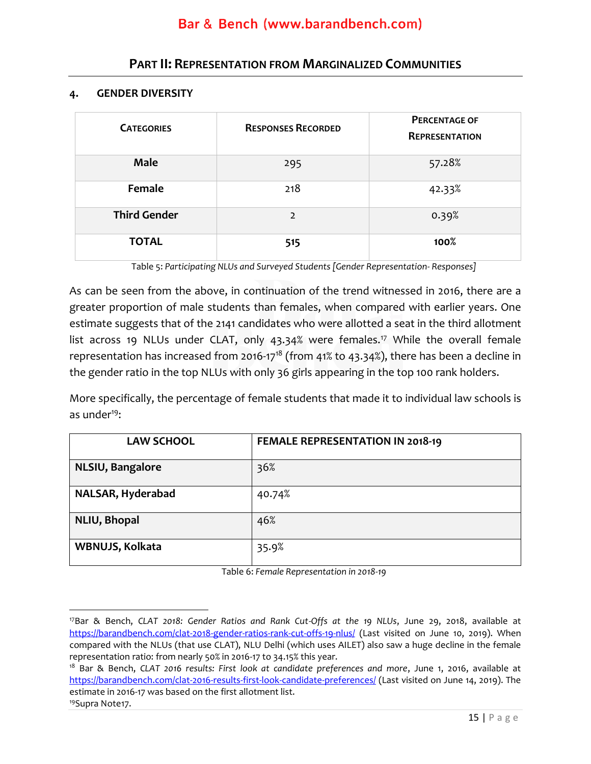### **PART II: REPRESENTATION FROM MARGINALIZED COMMUNITIES**

#### <span id="page-15-0"></span>**4. GENDER DIVERSITY**

| <b>CATEGORIES</b>   | <b>RESPONSES RECORDED</b> | <b>PERCENTAGE OF</b><br><b>REPRESENTATION</b> |
|---------------------|---------------------------|-----------------------------------------------|
| <b>Male</b>         | 295                       | 57.28%                                        |
| Female              | 218                       | 42.33%                                        |
| <b>Third Gender</b> | $\overline{2}$            | 0.39%                                         |
| <b>TOTAL</b>        | 515                       | 100%                                          |

Table 5: *Participating NLUs and Surveyed Students [Gender Representation- Responses]*

As can be seen from the above, in continuation of the trend witnessed in 2016, there are a greater proportion of male students than females, when compared with earlier years. One estimate suggests that of the 2141 candidates who were allotted a seat in the third allotment list across 19 NLUs under CLAT, only 43.34% were females.<sup>17</sup> While the overall female representation has increased from 2016-17<sup>18</sup> (from 41% to 43.34%), there has been a decline in the gender ratio in the top NLUs with only 36 girls appearing in the top 100 rank holders.

More specifically, the percentage of female students that made it to individual law schools is as under $19$ :

| <b>LAW SCHOOL</b> | FEMALE REPRESENTATION IN 2018-19 |
|-------------------|----------------------------------|
| NLSIU, Bangalore  | 36%                              |
| NALSAR, Hyderabad | 40.74%                           |
| NLIU, Bhopal      | 46%                              |
| WBNUJS, Kolkata   | 35.9%                            |

Table 6: *Female Representation in 2018-19*

<sup>17</sup>Bar & Bench, *CLAT 2018: Gender Ratios and Rank Cut-Offs at the 19 NLUs*, June 29, 2018, available at <https://barandbench.com/clat-2018-gender-ratios-rank-cut-offs-19-nlus/> (Last visited on June 10, 2019). When compared with the NLUs (that use CLAT), NLU Delhi (which uses AILET) also saw a huge decline in the female representation ratio: from nearly 50% in 2016-17 to 34.15% this year.

<sup>18</sup> Bar & Bench, *CLAT 2016 results: First look at candidate preferences and more*, June 1, 2016, available at <https://barandbench.com/clat-2016-results-first-look-candidate-preferences/> (Last visited on June 14, 2019). The estimate in 2016-17 was based on the first allotment list.

<sup>19</sup>Supra Note17.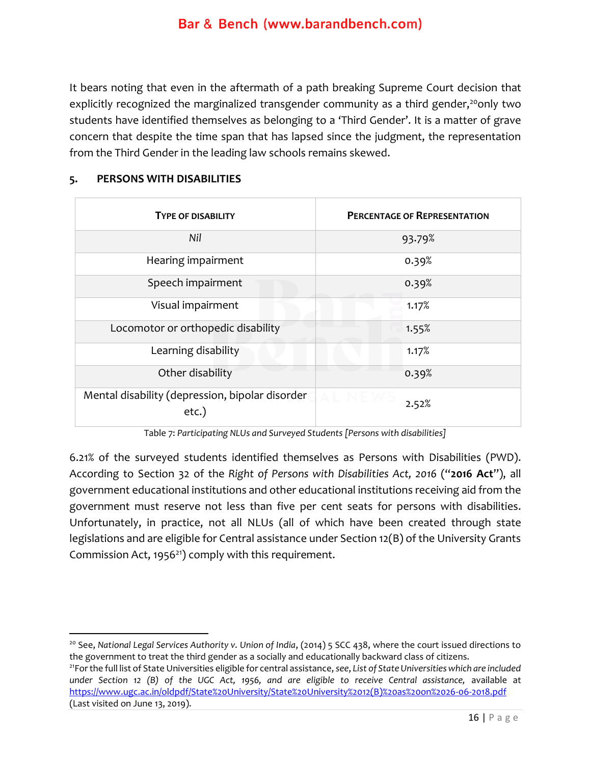It bears noting that even in the aftermath of a path breaking Supreme Court decision that explicitly recognized the marginalized transgender community as a third gender,<sup>20</sup>only two students have identified themselves as belonging to a 'Third Gender'. It is a matter of grave concern that despite the time span that has lapsed since the judgment, the representation from the Third Gender in the leading law schools remains skewed.

| <b>TYPE OF DISABILITY</b>                                | <b>PERCENTAGE OF REPRESENTATION</b> |
|----------------------------------------------------------|-------------------------------------|
| Nil                                                      | 93.79%                              |
| Hearing impairment                                       | 0.39%                               |
| Speech impairment                                        | 0.39%                               |
| Visual impairment                                        | 1.17%                               |
| Locomotor or orthopedic disability                       | 1.55%                               |
| Learning disability                                      | 1.17%                               |
| Other disability                                         | 0.39%                               |
| Mental disability (depression, bipolar disorder<br>etc.) | 2.52%                               |

#### **5. PERSONS WITH DISABILITIES**

Table 7: *Participating NLUs and Surveyed Students [Persons with disabilities]*

6.21% of the surveyed students identified themselves as Persons with Disabilities (PWD). According to Section 32 of the *Right of Persons with Disabilities Act, 2016* ("**2016 Act**"), all government educational institutions and other educational institutions receiving aid from the government must reserve not less than five per cent seats for persons with disabilities. Unfortunately, in practice, not all NLUs (all of which have been created through state legislations and are eligible for Central assistance under Section 12(B) of the University Grants Commission Act, 1956<sup>21</sup>) comply with this requirement.

<sup>20</sup> See, *National Legal Services Authority v. Union of India*, (2014) 5 SCC 438, where the court issued directions to the government to treat the third gender as a socially and educationally backward class of citizens.

<sup>21</sup>For the full list of State Universities eligible for central assistance, *see*, *List of State Universities which are included under Section 12 (B) of the UGC Act, 1956, and are eligible to receive Central assistance, available at* [https://www.ugc.ac.in/oldpdf/State%20University/State%20University%2012\(B\)%20as%20on%2026-06-2018.pdf](https://www.ugc.ac.in/oldpdf/State%20University/State%20University%2012(B)%20as%20on%2026-06-2018.pdf)  (Last visited on June 13, 2019).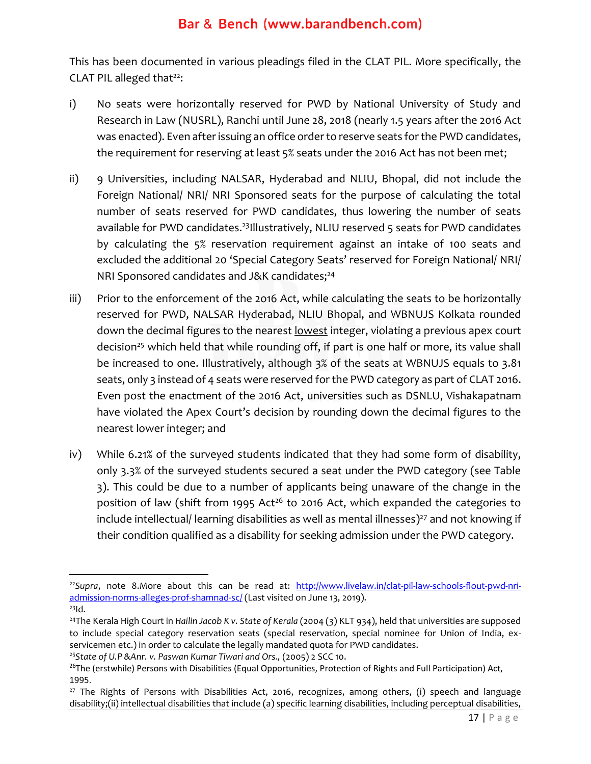This has been documented in various pleadings filed in the CLAT PIL. More specifically, the CLAT PIL alleged that $22$ :

- i) No seats were horizontally reserved for PWD by National University of Study and Research in Law (NUSRL), Ranchi until June 28, 2018 (nearly 1.5 years after the 2016 Act was enacted). Even after issuing an office order to reserve seats for the PWD candidates, the requirement for reserving at least 5% seats under the 2016 Act has not been met;
- ii) 9 Universities, including NALSAR, Hyderabad and NLIU, Bhopal, did not include the Foreign National/ NRI/ NRI Sponsored seats for the purpose of calculating the total number of seats reserved for PWD candidates, thus lowering the number of seats available for PWD candidates. <sup>23</sup>Illustratively, NLIU reserved 5 seats for PWD candidates by calculating the 5% reservation requirement against an intake of 100 seats and excluded the additional 20 'Special Category Seats' reserved for Foreign National/ NRI/ NRI Sponsored candidates and J&K candidates; 24
- iii) Prior to the enforcement of the 2016 Act, while calculating the seats to be horizontally reserved for PWD, NALSAR Hyderabad, NLIU Bhopal, and WBNUJS Kolkata rounded down the decimal figures to the nearest lowest integer, violating a previous apex court decision<sup>25</sup> which held that while rounding off, if part is one half or more, its value shall be increased to one. Illustratively, although 3% of the seats at WBNUJS equals to 3.81 seats, only 3 instead of 4 seats were reserved for the PWD category as part of CLAT 2016. Even post the enactment of the 2016 Act, universities such as DSNLU, Vishakapatnam have violated the Apex Court's decision by rounding down the decimal figures to the nearest lower integer; and
- iv) While 6.21% of the surveyed students indicated that they had some form of disability, only 3.3% of the surveyed students secured a seat under the PWD category (see Table 3). This could be due to a number of applicants being unaware of the change in the position of law (shift from 1995 Act<sup>26</sup> to 2016 Act, which expanded the categories to include intellectual/ learning disabilities as well as mental illnesses) <sup>27</sup> and not knowing if their condition qualified as a disability for seeking admission under the PWD category.

<sup>22</sup>*Supra*, note 8.More about this can be read at: [http://www.livelaw.in/clat-pil-law-schools-flout-pwd-nri](http://www.livelaw.in/clat-pil-law-schools-flout-pwd-nri-admission-norms-alleges-prof-shamnad-sc/)[admission-norms-alleges-prof-shamnad-sc/](http://www.livelaw.in/clat-pil-law-schools-flout-pwd-nri-admission-norms-alleges-prof-shamnad-sc/) (Last visited on June 13, 2019).

 $^{23}$ Id.

<sup>&</sup>lt;sup>24</sup>The Kerala High Court in *Hailin Jacob K v. State of Kerala* (2004 (3) KLT 934), held that universities are supposed to include special category reservation seats (special reservation, special nominee for Union of India, exservicemen etc.) in order to calculate the legally mandated quota for PWD candidates.

<sup>&</sup>lt;sup>25</sup>State of U.P & Anr. v. Paswan Kumar Tiwari and Ors., (2005) 2 SCC 10.

<sup>&</sup>lt;sup>26</sup>The (erstwhile) Persons with Disabilities (Equal Opportunities, Protection of Rights and Full Participation) Act, 1995.

 $27$  The Rights of Persons with Disabilities Act, 2016, recognizes, among others, (i) speech and language disability;(ii) intellectual disabilities that include (a) specific learning disabilities, including perceptual disabilities,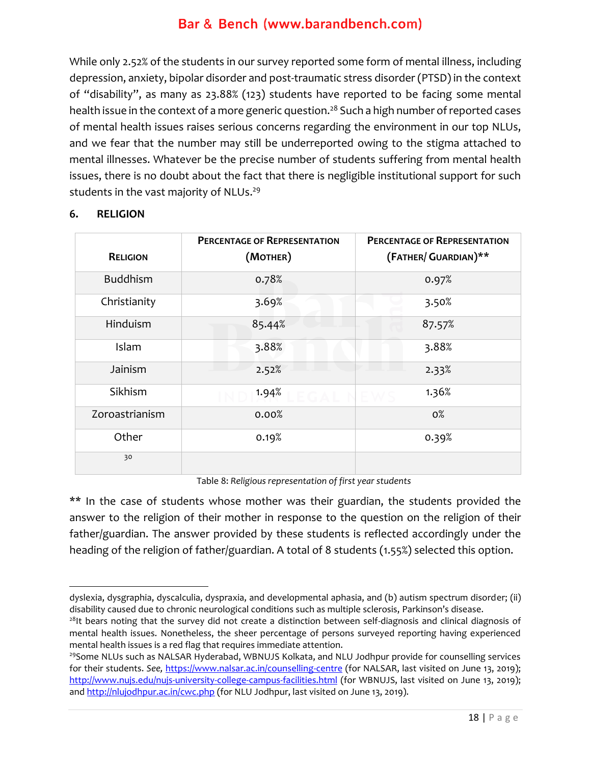While only 2.52% of the students in our survey reported some form of mental illness, including depression, anxiety, bipolar disorder and post-traumatic stress disorder (PTSD) in the context of "disability", as many as 23.88% (123) students have reported to be facing some mental health issue in the context of a more generic question. <sup>28</sup> Such a high number of reported cases of mental health issues raises serious concerns regarding the environment in our top NLUs, and we fear that the number may still be underreported owing to the stigma attached to mental illnesses. Whatever be the precise number of students suffering from mental health issues, there is no doubt about the fact that there is negligible institutional support for such students in the vast majority of NLUs. 29

| <b>RELIGION</b> | <b>PERCENTAGE OF REPRESENTATION</b><br>(MOTHER) | <b>PERCENTAGE OF REPRESENTATION</b><br>(FATHER/ GUARDIAN)** |
|-----------------|-------------------------------------------------|-------------------------------------------------------------|
| <b>Buddhism</b> | 0.78%                                           | 0.97%                                                       |
| Christianity    | 3.69%                                           | 3.50%                                                       |
| Hinduism        | 85.44%                                          | 87.57%                                                      |
| Islam           | 3.88%                                           | 3.88%                                                       |
| Jainism         | 2.52%                                           | 2.33%                                                       |
| Sikhism         | 1.94%                                           | 1.36%                                                       |
| Zoroastrianism  | 0.00%                                           | $0\%$                                                       |
| Other           | 0.19%                                           | 0.39%                                                       |
| 30              |                                                 |                                                             |

#### **6. RELIGION**

Table 8: *Religious representation of first year students*

\*\* In the case of students whose mother was their guardian, the students provided the answer to the religion of their mother in response to the question on the religion of their father/guardian. The answer provided by these students is reflected accordingly under the heading of the religion of father/guardian. A total of 8 students (1.55%) selected this option.

dyslexia, dysgraphia, dyscalculia, dyspraxia, and developmental aphasia, and (b) autism spectrum disorder; (ii) disability caused due to chronic neurological conditions such as multiple sclerosis, Parkinson's disease.

 $28$ It bears noting that the survey did not create a distinction between self-diagnosis and clinical diagnosis of mental health issues. Nonetheless, the sheer percentage of persons surveyed reporting having experienced mental health issues is a red flag that requires immediate attention.

<sup>&</sup>lt;sup>29</sup>Some NLUs such as NALSAR Hyderabad, WBNUJS Kolkata, and NLU Jodhpur provide for counselling services for their students. *See,* <https://www.nalsar.ac.in/counselling-centre> (for NALSAR, last visited on June 13, 2019); <http://www.nujs.edu/nujs-university-college-campus-facilities.html> (for WBNUJS, last visited on June 13, 2019); and<http://nlujodhpur.ac.in/cwc.php> (for NLU Jodhpur, last visited on June 13, 2019).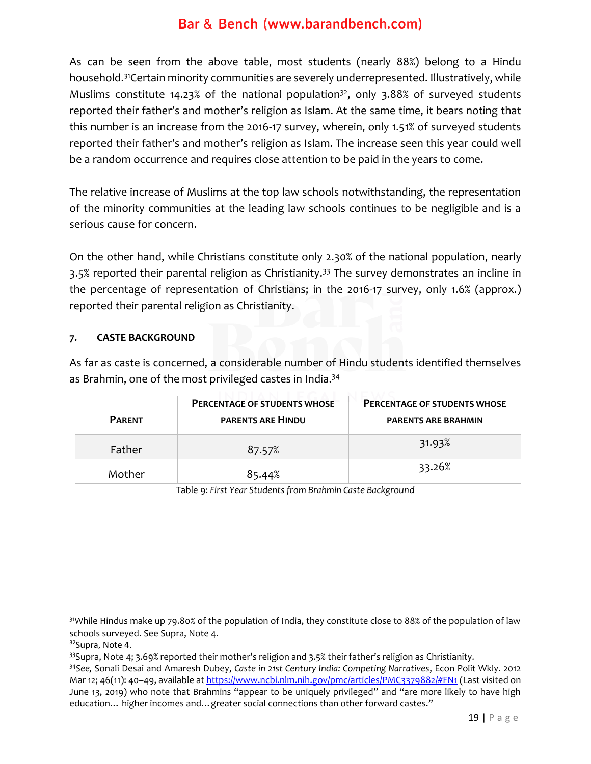As can be seen from the above table, most students (nearly 88%) belong to a Hindu household.<sup>31</sup>Certain minority communities are severely underrepresented. Illustratively, while Muslims constitute  $14.23\%$  of the national population<sup>32</sup>, only 3.88% of surveyed students reported their father's and mother's religion as Islam. At the same time, it bears noting that this number is an increase from the 2016-17 survey, wherein, only 1.51% of surveyed students reported their father's and mother's religion as Islam. The increase seen this year could well be a random occurrence and requires close attention to be paid in the years to come.

The relative increase of Muslims at the top law schools notwithstanding, the representation of the minority communities at the leading law schools continues to be negligible and is a serious cause for concern.

On the other hand, while Christians constitute only 2.30% of the national population, nearly 3.5% reported their parental religion as Christianity.<sup>33</sup> The survey demonstrates an incline in the percentage of representation of Christians; in the 2016-17 survey, only 1.6% (approx.) reported their parental religion as Christianity.

#### **7. CASTE BACKGROUND**

As far as caste is concerned, a considerable number of Hindu students identified themselves as Brahmin, one of the most privileged castes in India.<sup>34</sup>

| <b>PARENT</b> | <b>PERCENTAGE OF STUDENTS WHOSE</b><br><b>PARENTS ARE HINDU</b> | <b>PERCENTAGE OF STUDENTS WHOSE</b><br><b>PARENTS ARE BRAHMIN</b> |
|---------------|-----------------------------------------------------------------|-------------------------------------------------------------------|
| Father        | 87.57%                                                          | 31.93%                                                            |
| Mother        | 85.44%                                                          | 33.26%                                                            |

Table 9: *First Year Students from Brahmin Caste Background*

<sup>31</sup>While Hindus make up 79.80% of the population of India, they constitute close to 88% of the population of law schools surveyed. See Supra, Note 4.

<sup>&</sup>lt;sup>32</sup>Supra, Note 4.

 $33$ Supra, Note 4; 3.69% reported their mother's religion and 3.5% their father's religion as Christianity.

<sup>34</sup>*See,* Sonali Desai and Amaresh Dubey, *Caste in 21st Century India: Competing Narratives*, Econ Polit Wkly. 2012 Mar 12; 46(11): 40-49, available at<https://www.ncbi.nlm.nih.gov/pmc/articles/PMC3379882/#FN1> (Last visited on June 13, 2019) who note that Brahmins "appear to be uniquely privileged" and "are more likely to have high education… higher incomes and…greater social connections than other forward castes."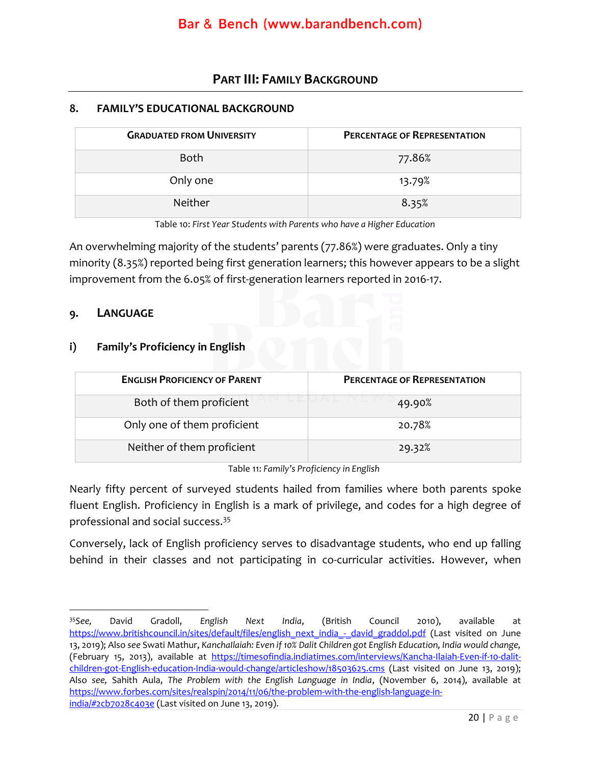### **PART III: FAMILY BACKGROUND**

#### <span id="page-20-0"></span>**8. FAMILY'S EDUCATIONAL BACKGROUND**

| <b>GRADUATED FROM UNIVERSITY</b> | <b>PERCENTAGE OF REPRESENTATION</b> |
|----------------------------------|-------------------------------------|
| <b>Both</b>                      | 77.86%                              |
| Only one                         | 13.79%                              |
| <b>Neither</b>                   | 8.35%                               |

Table 10: *First Year Students with Parents who have a Higher Education*

An overwhelming majority of the students' parents (77.86%) were graduates. Only a tiny minority (8.35%) reported being first generation learners; this however appears to be a slight improvement from the 6.05% of first-generation learners reported in 2016-17.

#### **9. LANGUAGE**

#### **i) Family's Proficiency in English**

| <b>ENGLISH PROFICIENCY OF PARENT</b> | <b>PERCENTAGE OF REPRESENTATION</b> |
|--------------------------------------|-------------------------------------|
| Both of them proficient              | 49.90%                              |
| Only one of them proficient          | 20.78%                              |
| Neither of them proficient           | 29.32%                              |

Table 11: *Family's Proficiency in English*

Nearly fifty percent of surveyed students hailed from families where both parents spoke fluent English. Proficiency in English is a mark of privilege, and codes for a high degree of professional and social success.<sup>35</sup>

Conversely, lack of English proficiency serves to disadvantage students, who end up falling behind in their classes and not participating in co-curricular activities. However, when

<sup>35</sup>*See,* David Gradoll, *English Next India*, (British Council 2010), available at [https://www.britishcouncil.in/sites/default/files/english\\_next\\_india\\_-\\_david\\_graddol.pdf](https://www.britishcouncil.in/sites/default/files/english_next_india_-_david_graddol.pdf) (Last visited on June 13, 2019); Also *see* Swati Mathur, *KanchaIlaiah: Even if 10% Dalit Children got English Education, India would change,*  (February 15, 2013), available at [https://timesofindia.indiatimes.com/interviews/Kancha-Ilaiah-Even-if-10-dalit](https://timesofindia.indiatimes.com/interviews/Kancha-Ilaiah-Even-if-10-dalit-children-got-English-education-India-would-change/articleshow/18503625.cms)[children-got-English-education-India-would-change/articleshow/18503625.cms](https://timesofindia.indiatimes.com/interviews/Kancha-Ilaiah-Even-if-10-dalit-children-got-English-education-India-would-change/articleshow/18503625.cms) (Last visited on June 13, 2o19); Also *see,* Sahith Aula, *The Problem with the English Language in India*, (November 6, 2014), available at [https://www.forbes.com/sites/realspin/2014/11/06/the-problem-with-the-english-language-in](https://www.forbes.com/sites/realspin/2014/11/06/the-problem-with-the-english-language-in-india/#2cb7028c403e)[india/#2cb7028c403e](https://www.forbes.com/sites/realspin/2014/11/06/the-problem-with-the-english-language-in-india/#2cb7028c403e) (Last visited on June 13, 2019).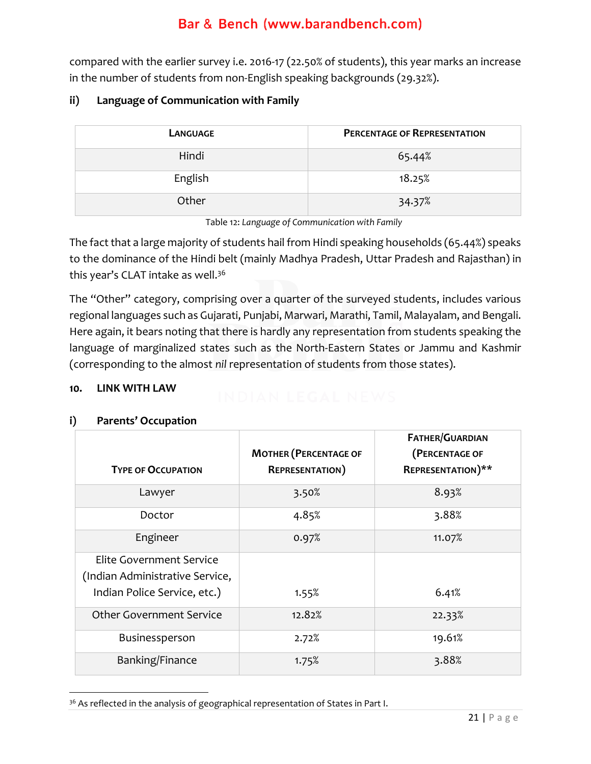compared with the earlier survey i.e. 2016-17 (22.50% of students), this year marks an increase in the number of students from non-English speaking backgrounds (29.32%).

#### **ii) Language of Communication with Family**

| LANGUAGE | <b>PERCENTAGE OF REPRESENTATION</b> |
|----------|-------------------------------------|
| Hindi    | 65.44%                              |
| English  | 18.25%                              |
| Other    | 34.37%                              |

Table 12: *Language of Communication with Family*

The fact that a large majority of students hail from Hindi speaking households (65.44%) speaks to the dominance of the Hindi belt (mainly Madhya Pradesh, Uttar Pradesh and Rajasthan) in this year's CLAT intake as well. 36

The "Other" category, comprising over a quarter of the surveyed students, includes various regional languages such as Gujarati, Punjabi, Marwari, Marathi, Tamil, Malayalam, and Bengali. Here again, it bears noting that there is hardly any representation from students speaking the language of marginalized states such as the North-Eastern States or Jammu and Kashmir (corresponding to the almost *nil* representation of students from those states).

#### **10. LINK WITH LAW**

## **TYPE OF OCCUPATION MOTHER (PERCENTAGE OF REPRESENTATION) FATHER/GUARDIAN (PERCENTAGE OF REPRESENTATION)\*\*** Lawyer 1.1 3.50% 3.93% Doctor  $4.85\%$   $2.88\%$ Engineer 11.07% 11.07% Elite Government Service (Indian Administrative Service, Indian Police Service, etc.) 1.55% 1.55% 6.41% Other Government Service 22.33% Businessperson and 2.72% and 19.61% Banking/Finance 1.75% 1.75% 3.88%

#### **i) Parents' Occupation**

<sup>&</sup>lt;sup>36</sup> As reflected in the analysis of geographical representation of States in Part I.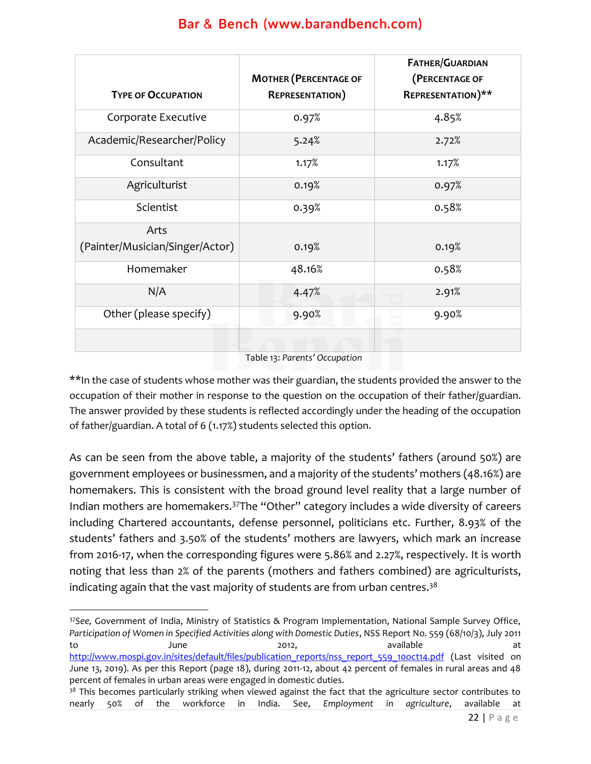| <b>TYPE OF OCCUPATION</b>       | <b>MOTHER (PERCENTAGE OF</b><br><b>REPRESENTATION</b> ) | <b>FATHER/GUARDIAN</b><br>(PERCENTAGE OF<br><b>REPRESENTATION)**</b> |
|---------------------------------|---------------------------------------------------------|----------------------------------------------------------------------|
| Corporate Executive             | 0.97%                                                   | 4.85%                                                                |
| Academic/Researcher/Policy      | 5.24%                                                   | 2.72%                                                                |
| Consultant                      | 1.17%                                                   | 1.17%                                                                |
| Agriculturist                   | 0.19%                                                   | 0.97%                                                                |
| Scientist                       | 0.39%                                                   | 0.58%                                                                |
| Arts                            |                                                         |                                                                      |
| (Painter/Musician/Singer/Actor) | 0.19%                                                   | 0.19%                                                                |
| Homemaker                       | 48.16%                                                  | 0.58%                                                                |
| N/A                             | 4.47%                                                   | 2.91%                                                                |
| Other (please specify)          | 9.90%                                                   | 9.90%                                                                |
|                                 |                                                         |                                                                      |

Table 13: *Parents' Occupation*

\*\*In the case of students whose mother was their guardian, the students provided the answer to the occupation of their mother in response to the question on the occupation of their father/guardian. The answer provided by these students is reflected accordingly under the heading of the occupation of father/guardian. A total of 6 (1.17%) students selected this option.

As can be seen from the above table, a majority of the students' fathers (around 50%) are government employees or businessmen, and a majority of the students' mothers (48.16%) are homemakers. This is consistent with the broad ground level reality that a large number of Indian mothers are homemakers.<sup>37</sup>The "Other" category includes a wide diversity of careers including Chartered accountants, defense personnel, politicians etc. Further, 8.93% of the students' fathers and 3.50% of the students' mothers are lawyers, which mark an increase from 2016-17, when the corresponding figures were 5.86% and 2.27%, respectively. It is worth noting that less than 2% of the parents (mothers and fathers combined) are agriculturists, indicating again that the vast majority of students are from urban centres.<sup>38</sup>

<sup>37</sup>*See,* Government of India, Ministry of Statistics & Program Implementation, National Sample Survey Office, *Participation of Women in Specified Activities along with Domestic Duties*, NSS Report No. 559 (68/10/3), July 2011 to June 2012, available at at [http://www.mospi.gov.in/sites/default/files/publication\\_reports/nss\\_report\\_559\\_10oct14.pdf](http://www.mospi.gov.in/sites/default/files/publication_reports/nss_report_559_10oct14.pdf) (Last visited on June 13, 2019). As per this Report (page 18), during 2011-12, about 42 percent of females in rural areas and 48 percent of females in urban areas were engaged in domestic duties.

<sup>&</sup>lt;sup>38</sup> This becomes particularly striking when viewed against the fact that the agriculture sector contributes to nearly 50% of the workforce in India. See, *Employment in agriculture*, available at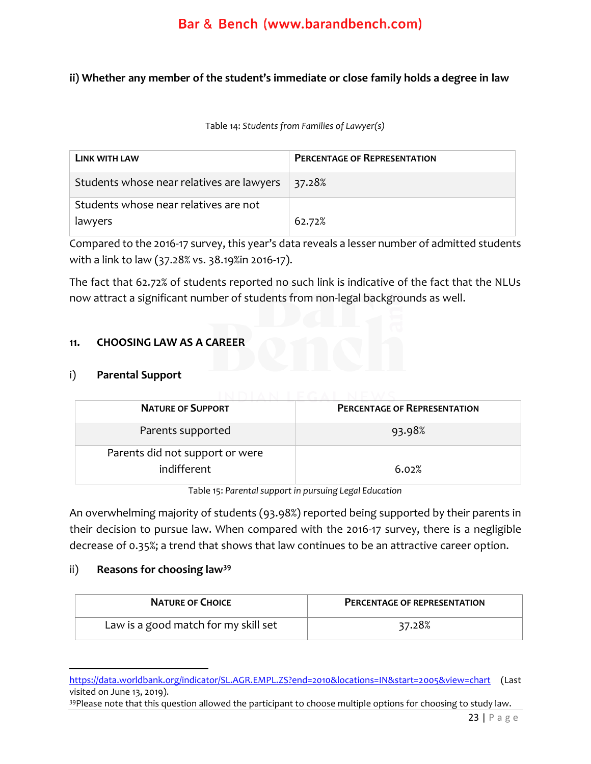#### **ii) Whether any member of the student's immediate or close family holds a degree in law**

Table 14: *Students from Families of Lawyer(s)*

| LINK WITH LAW                             | <b>PERCENTAGE OF REPRESENTATION</b> |
|-------------------------------------------|-------------------------------------|
| Students whose near relatives are lawyers | 37.28%                              |
| Students whose near relatives are not     |                                     |
| lawyers                                   | 62.72%                              |

Compared to the 2016-17 survey, this year's data reveals a lesser number of admitted students with a link to law (37.28% vs. 38.19%in 2016-17).

The fact that 62.72% of students reported no such link is indicative of the fact that the NLUs now attract a significant number of students from non-legal backgrounds as well.

#### **11. CHOOSING LAW AS A CAREER**

#### i) **Parental Support**

| <b>NATURE OF SUPPORT</b>        | <b>PERCENTAGE OF REPRESENTATION</b> |  |
|---------------------------------|-------------------------------------|--|
| Parents supported               | 93.98%                              |  |
| Parents did not support or were |                                     |  |
| indifferent                     | 6.02%                               |  |

Table 15: *Parental support in pursuing Legal Education*

An overwhelming majority of students (93.98%) reported being supported by their parents in their decision to pursue law. When compared with the 2016-17 survey, there is a negligible decrease of 0.35%; a trend that shows that law continues to be an attractive career option.

#### ii) **Reasons for choosing law<sup>39</sup>**

| <b>NATURE OF CHOICE</b>              | <b>PERCENTAGE OF REPRESENTATION</b> |
|--------------------------------------|-------------------------------------|
| Law is a good match for my skill set | 37.28%                              |

<https://data.worldbank.org/indicator/SL.AGR.EMPL.ZS?end=2010&locations=IN&start=2005&view=chart> (Last visited on June 13, 2019).

<sup>39</sup>Please note that this question allowed the participant to choose multiple options for choosing to study law.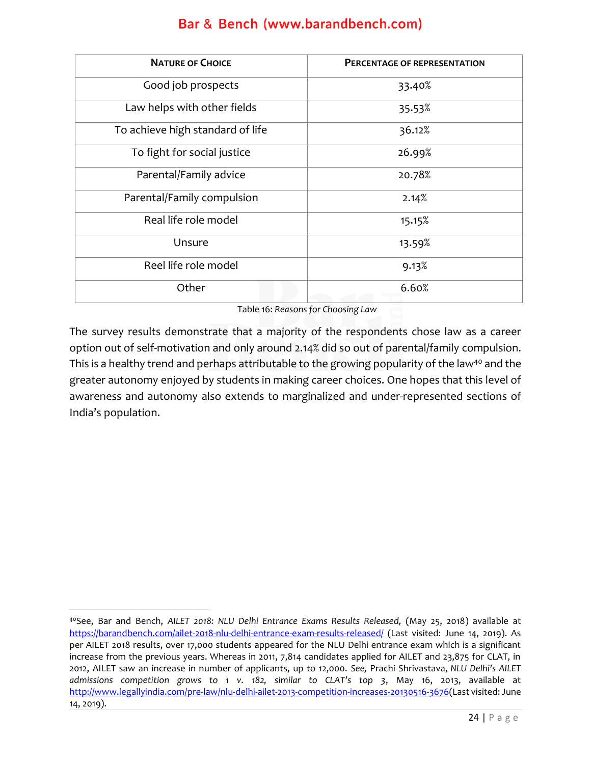| <b>NATURE OF CHOICE</b>          | PERCENTAGE OF REPRESENTATION |
|----------------------------------|------------------------------|
| Good job prospects               | 33.40%                       |
| Law helps with other fields      | 35.53%                       |
| To achieve high standard of life | 36.12%                       |
| To fight for social justice      | 26.99%                       |
| Parental/Family advice           | 20.78%                       |
| Parental/Family compulsion       | 2.14%                        |
| Real life role model             | 15.15%                       |
| Unsure                           | 13.59%                       |
| Reel life role model             | 9.13%                        |
| Other                            | 6.60%                        |

Table 16: *Reasons for Choosing Law*

The survey results demonstrate that a majority of the respondents chose law as a career option out of self-motivation and only around 2.14% did so out of parental/family compulsion. This is a healthy trend and perhaps attributable to the growing popularity of the law<sup>40</sup> and the greater autonomy enjoyed by students in making career choices. One hopes that this level of awareness and autonomy also extends to marginalized and under-represented sections of India's population.

<sup>40</sup>See, Bar and Bench, *AILET 2018: NLU Delhi Entrance Exams Results Released,* (May 25, 2018) available at <https://barandbench.com/ailet-2018-nlu-delhi-entrance-exam-results-released/> (Last visited: June 14, 2019). As per AILET 2018 results, over 17,000 students appeared for the NLU Delhi entrance exam which is a significant increase from the previous years. Whereas in 2011, 7,814 candidates applied for AILET and 23,875 for CLAT, in 2012, AILET saw an increase in number of applicants, up to 12,000. *See,* Prachi Shrivastava, *NLU Delhi's AILET admissions competition grows to 1 v. 182, similar to CLAT's top 3*, May 16, 2013, available at [http://www.legallyindia.com/pre-law/nlu-delhi-ailet-2013-competition-increases-20130516-3676\(](http://www.legallyindia.com/pre-law/nlu-delhi-ailet-2013-competition-increases-20130516-3676)Last visited: June 14, 2019).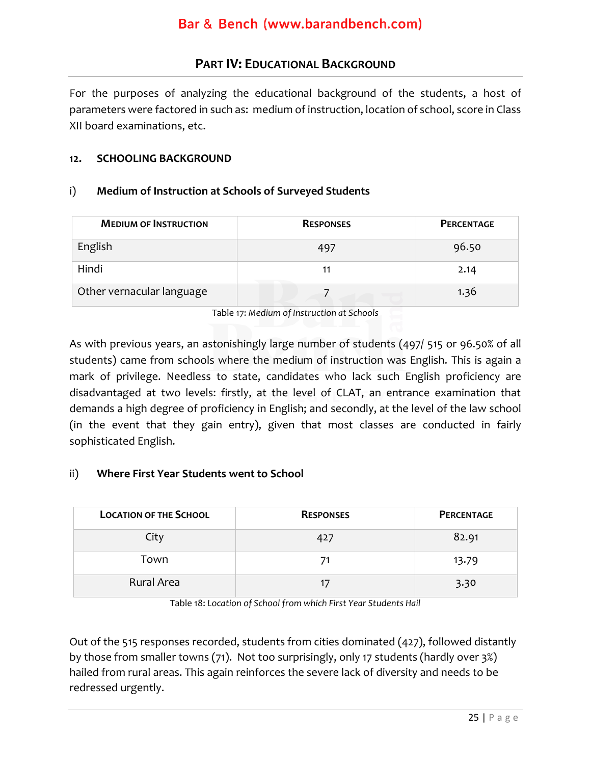### **PART IV: EDUCATIONAL BACKGROUND**

<span id="page-25-0"></span>For the purposes of analyzing the educational background of the students, a host of parameters were factored in such as: medium of instruction, location of school, score in Class XII board examinations, etc.

#### **12. SCHOOLING BACKGROUND**

#### i) **Medium of Instruction at Schools of Surveyed Students**

| <b>MEDIUM OF INSTRUCTION</b> | <b>RESPONSES</b> | <b>PERCENTAGE</b> |
|------------------------------|------------------|-------------------|
| English                      | 497              | 96.50             |
| Hindi                        | 11               | 2.14              |
| Other vernacular language    |                  | 1.36              |

Table 17: *Medium of Instruction at Schools* 

As with previous years, an astonishingly large number of students (497/ 515 or 96.50% of all students) came from schools where the medium of instruction was English. This is again a mark of privilege. Needless to state, candidates who lack such English proficiency are disadvantaged at two levels: firstly, at the level of CLAT, an entrance examination that demands a high degree of proficiency in English; and secondly, at the level of the law school (in the event that they gain entry), given that most classes are conducted in fairly sophisticated English.

#### ii) **Where First Year Students went to School**

| <b>LOCATION OF THE SCHOOL</b> | <b>RESPONSES</b> | PERCENTAGE |
|-------------------------------|------------------|------------|
| City                          | 427              | 82.91      |
| Town                          | 71               | 13.79      |
| Rural Area                    | 17               | 3.30       |

Table 18: *Location of School from which First Year Students Hail*

Out of the 515 responses recorded, students from cities dominated (427), followed distantly by those from smaller towns (71). Not too surprisingly, only 17 students (hardly over 3%) hailed from rural areas. This again reinforces the severe lack of diversity and needs to be redressed urgently.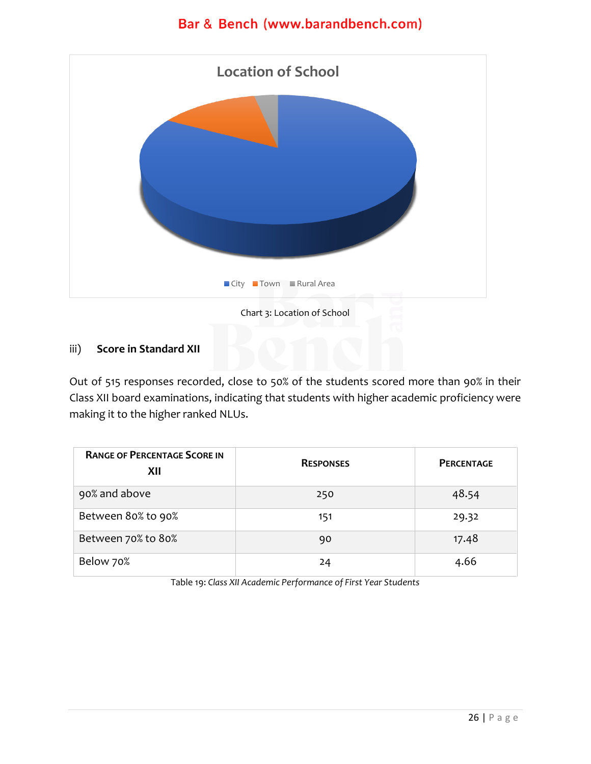

#### iii) **Score in Standard XII**

Out of 515 responses recorded, close to 50% of the students scored more than 90% in their Class XII board examinations, indicating that students with higher academic proficiency were making it to the higher ranked NLUs.

| <b>RANGE OF PERCENTAGE SCORE IN</b><br>XII | <b>RESPONSES</b> | <b>PERCENTAGE</b> |
|--------------------------------------------|------------------|-------------------|
| 90% and above                              | 250              | 48.54             |
| Between 80% to 90%                         | 151              | 29.32             |
| Between 70% to 80%                         | 90               | 17.48             |
| Below 70%                                  | 24               | 4.66              |

Table 19: *Class XII Academic Performance of First Year Students*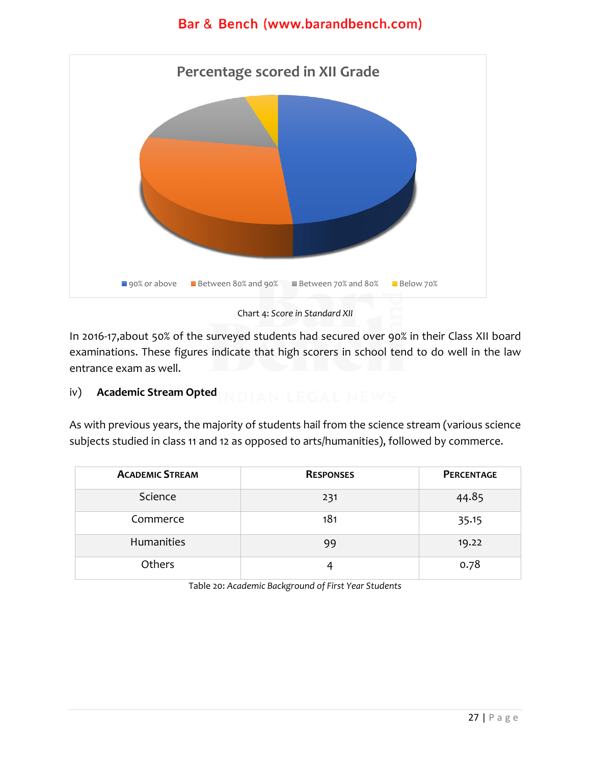

Chart 4: *Score in Standard XII*

In 2016-17,about 50% of the surveyed students had secured over 90% in their Class XII board examinations. These figures indicate that high scorers in school tend to do well in the law entrance exam as well.

#### iv) **Academic Stream Opted**

As with previous years, the majority of students hail from the science stream (various science subjects studied in class 11 and 12 as opposed to arts/humanities), followed by commerce.

| <b>ACADEMIC STREAM</b> | <b>RESPONSES</b> | <b>PERCENTAGE</b> |
|------------------------|------------------|-------------------|
| Science                | 231              | 44.85             |
| Commerce               | 181              | 35.15             |
| Humanities             | 99               | 19.22             |
| Others                 |                  | 0.78              |

<span id="page-27-0"></span>Table 20: *Academic Background of First Year Students*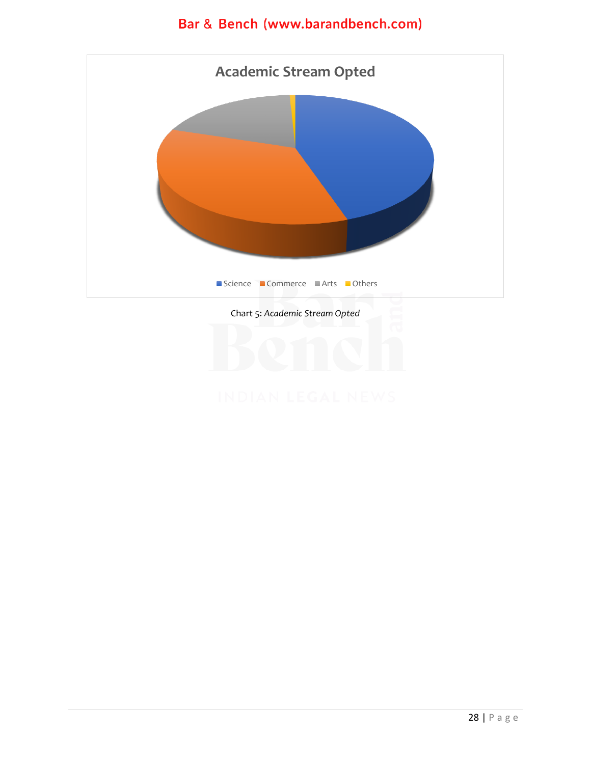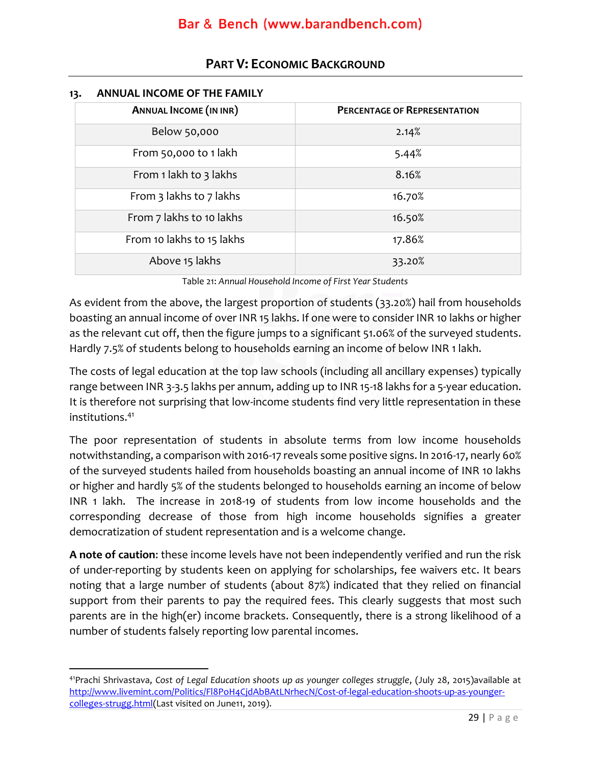| •רי<br><b>ANNUAL INCOME OF THE FAMILI</b> |                                     |  |
|-------------------------------------------|-------------------------------------|--|
| <b>ANNUAL INCOME (IN INR)</b>             | <b>PERCENTAGE OF REPRESENTATION</b> |  |
| Below 50,000                              | 2.14%                               |  |
| From 50,000 to 1 lakh                     | 5.44%                               |  |
| From 1 lakh to 3 lakhs                    | 8.16%                               |  |
| From 3 lakhs to 7 lakhs                   | 16.70%                              |  |
| From 7 lakhs to 10 lakhs                  | 16.50%                              |  |
| From 10 lakhs to 15 lakhs                 | 17.86%                              |  |
| Above 15 lakhs                            | 33.20%                              |  |

### **PART V: ECONOMIC BACKGROUND**

#### <span id="page-29-0"></span>**13. ANNUAL INCOME OF THE FAMILY**

Table 21: *Annual Household Income of First Year Students*

As evident from the above, the largest proportion of students (33.20%) hail from households boasting an annual income of over INR 15 lakhs. If one were to consider INR 10 lakhs or higher as the relevant cut off, then the figure jumps to a significant 51.06% of the surveyed students. Hardly 7.5% of students belong to households earning an income of below INR 1 lakh.

The costs of legal education at the top law schools (including all ancillary expenses) typically range between INR 3-3.5 lakhs per annum, adding up to INR 15-18 lakhs for a 5-year education. It is therefore not surprising that low-income students find very little representation in these institutions.<sup>41</sup>

The poor representation of students in absolute terms from low income households notwithstanding, a comparison with 2016-17 reveals some positive signs. In 2016-17, nearly 60% of the surveyed students hailed from households boasting an annual income of INR 10 lakhs or higher and hardly 5% of the students belonged to households earning an income of below INR 1 lakh. The increase in 2018-19 of students from low income households and the corresponding decrease of those from high income households signifies a greater democratization of student representation and is a welcome change.

**A note of caution**: these income levels have not been independently verified and run the risk of under-reporting by students keen on applying for scholarships, fee waivers etc. It bears noting that a large number of students (about 87%) indicated that they relied on financial support from their parents to pay the required fees. This clearly suggests that most such parents are in the high(er) income brackets. Consequently, there is a strong likelihood of a number of students falsely reporting low parental incomes.

<sup>41</sup>Prachi Shrivastava, *Cost of Legal Education shoots up as younger colleges struggle*, (July 28, 2015)available at [http://www.livemint.com/Politics/Fl8PoH4CjdAbBAtLNrhecN/Cost-of-legal-education-shoots-up-as-younger](http://www.livemint.com/Politics/Fl8PoH4CjdAbBAtLNrhecN/Cost-of-legal-education-shoots-up-as-younger-colleges-strugg.html)[colleges-strugg.html\(](http://www.livemint.com/Politics/Fl8PoH4CjdAbBAtLNrhecN/Cost-of-legal-education-shoots-up-as-younger-colleges-strugg.html)Last visited on June11, 2019).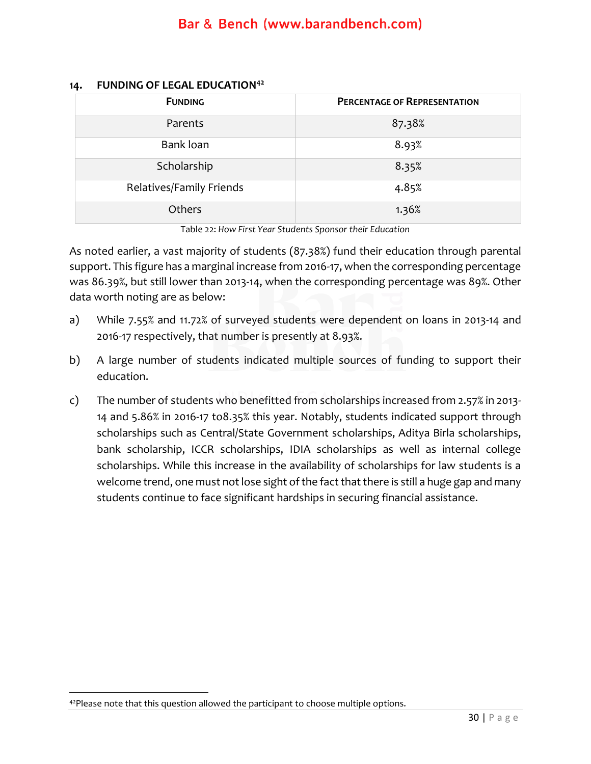| <b>FUNDING</b>           | <b>PERCENTAGE OF REPRESENTATION</b> |
|--------------------------|-------------------------------------|
| Parents                  | 87.38%                              |
| Bank loan                | 8.93%                               |
| Scholarship              | 8.35%                               |
| Relatives/Family Friends | 4.85%                               |
| Others                   | 1.36%                               |

#### **14. FUNDING OF LEGAL EDUCATION<sup>42</sup>**

Table 22: *How First Year Students Sponsor their Education*

As noted earlier, a vast majority of students (87.38%) fund their education through parental support. This figure has a marginal increase from 2016-17, when the corresponding percentage was 86.39%, but still lower than 2013-14, when the corresponding percentage was 89%. Other data worth noting are as below:

- a) While 7.55% and 11.72% of surveyed students were dependent on loans in 2013-14 and 2016-17 respectively, that number is presently at 8.93%.
- b) A large number of students indicated multiple sources of funding to support their education.
- c) The number of students who benefitted from scholarships increased from 2.57% in 2013- 14 and 5.86% in 2016-17 to8.35% this year. Notably, students indicated support through scholarships such as Central/State Government scholarships, Aditya Birla scholarships, bank scholarship, ICCR scholarships, IDIA scholarships as well as internal college scholarships. While this increase in the availability of scholarships for law students is a welcome trend, one must not lose sight of the fact that there is still a huge gap and many students continue to face significant hardships in securing financial assistance.

<sup>&</sup>lt;sup>42</sup>Please note that this question allowed the participant to choose multiple options.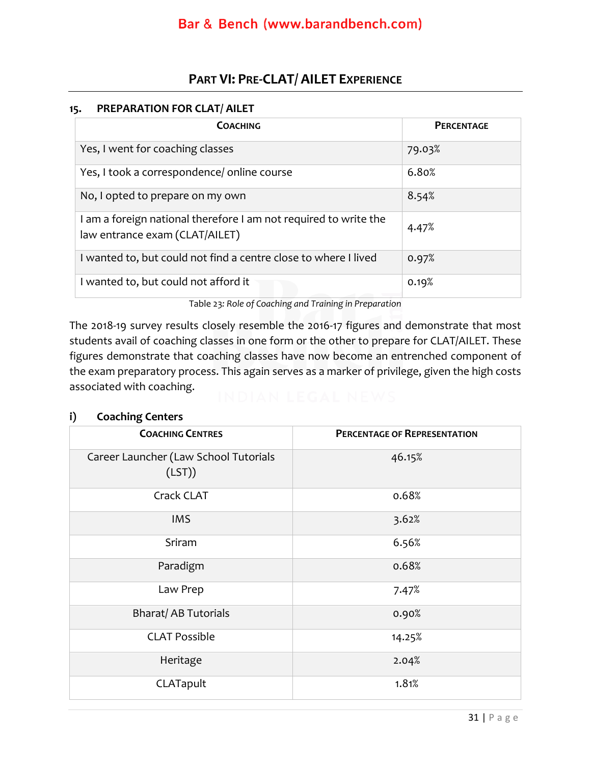### **PART VI: PRE-CLAT/ AILET EXPERIENCE**

#### <span id="page-31-0"></span>**15. PREPARATION FOR CLAT/ AILET**

| <b>COACHING</b>                                                                                    | <b>PERCENTAGE</b> |
|----------------------------------------------------------------------------------------------------|-------------------|
| Yes, I went for coaching classes                                                                   | 79.03%            |
| Yes, I took a correspondence/ online course                                                        | 6.80%             |
| No, I opted to prepare on my own                                                                   | 8.54%             |
| I am a foreign national therefore I am not required to write the<br>law entrance exam (CLAT/AILET) | 4.47%             |
| I wanted to, but could not find a centre close to where I lived                                    | 0.97%             |
| I wanted to, but could not afford it                                                               | 0.19%             |

Table 23*: Role of Coaching and Training in Preparation*

The 2018-19 survey results closely resemble the 2016-17 figures and demonstrate that most students avail of coaching classes in one form or the other to prepare for CLAT/AILET. These figures demonstrate that coaching classes have now become an entrenched component of the exam preparatory process. This again serves as a marker of privilege, given the high costs associated with coaching.

#### **i) Coaching Centers**

| <b>COACHING CENTRES</b>                         | <b>PERCENTAGE OF REPRESENTATION</b> |
|-------------------------------------------------|-------------------------------------|
| Career Launcher (Law School Tutorials<br>(LST)) | 46.15%                              |
| Crack CLAT                                      | 0.68%                               |
| <b>IMS</b>                                      | 3.62%                               |
| Sriram                                          | 6.56%                               |
| Paradigm                                        | 0.68%                               |
| Law Prep                                        | 7.47%                               |
| <b>Bharat/AB Tutorials</b>                      | 0.90%                               |
| <b>CLAT Possible</b>                            | 14.25%                              |
| Heritage                                        | 2.04%                               |
| CLATapult                                       | 1.81%                               |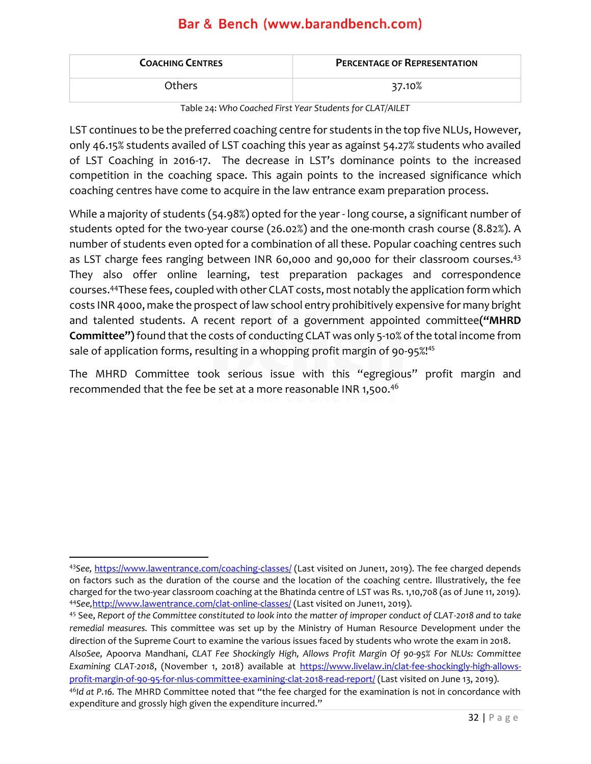| <b>COACHING CENTRES</b> | <b>PERCENTAGE OF REPRESENTATION</b> |
|-------------------------|-------------------------------------|
| Others.                 | 37.10%                              |

Table 24: *Who Coached First Year Students for CLAT/AILET*

LST continues to be the preferred coaching centre for students in the top five NLUs, However, only 46.15% students availed of LST coaching this year as against 54.27% students who availed of LST Coaching in 2016-17. The decrease in LST's dominance points to the increased competition in the coaching space. This again points to the increased significance which coaching centres have come to acquire in the law entrance exam preparation process.

While a majority of students (54.98%) opted for the year - long course, a significant number of students opted for the two-year course (26.02%) and the one-month crash course (8.82%). A number of students even opted for a combination of all these. Popular coaching centres such as LST charge fees ranging between INR 60,000 and 90,000 for their classroom courses.<sup>43</sup> They also offer online learning, test preparation packages and correspondence courses.<sup>44</sup>These fees, coupled with other CLAT costs, most notably the application form which costs INR 4000, make the prospect of law school entry prohibitively expensive for many bright and talented students. A recent report of a government appointed committee**("MHRD Committee")**found that the costs of conducting CLAT was only 5-10% of the total income from sale of application forms, resulting in a whopping profit margin of 90-95%! 45

The MHRD Committee took serious issue with this "egregious" profit margin and recommended that the fee be set at a more reasonable INR 1,500.<sup>46</sup>

*AlsoSee,* Apoorva Mandhani, *CLAT Fee Shockingly High, Allows Profit Margin Of 90-95% For NLUs: Committee Examining CLAT-2018*, (November 1, 2018) available at [https://www.livelaw.in/clat-fee-shockingly-high-allows](https://www.livelaw.in/clat-fee-shockingly-high-allows-profit-margin-of-90-95-for-nlus-committee-examining-clat-2018-read-report/)[profit-margin-of-90-95-for-nlus-committee-examining-clat-2018-read-report/](https://www.livelaw.in/clat-fee-shockingly-high-allows-profit-margin-of-90-95-for-nlus-committee-examining-clat-2018-read-report/) (Last visited on June 13, 2019).

<sup>43</sup>*See,* <https://www.lawentrance.com/coaching-classes/> (Last visited on June11, 2019). The fee charged depends on factors such as the duration of the course and the location of the coaching centre. Illustratively, the fee charged for the two-year classroom coaching at the Bhatinda centre of LST was Rs. 1,10,708 (as of June 11, 2019). <sup>44</sup>*See,*<http://www.lawentrance.com/clat-online-classes/> (Last visited on June11, 2019).

<sup>45</sup> See, *Report of the Committee constituted to look into the matter of improper conduct of CLAT-2018 and to take remedial measures.* This committee was set up by the Ministry of Human Resource Development under the direction of the Supreme Court to examine the various issues faced by students who wrote the exam in 2018.

<sup>46</sup>*Id at P.16.* The MHRD Committee noted that "the fee charged for the examination is not in concordance with expenditure and grossly high given the expenditure incurred."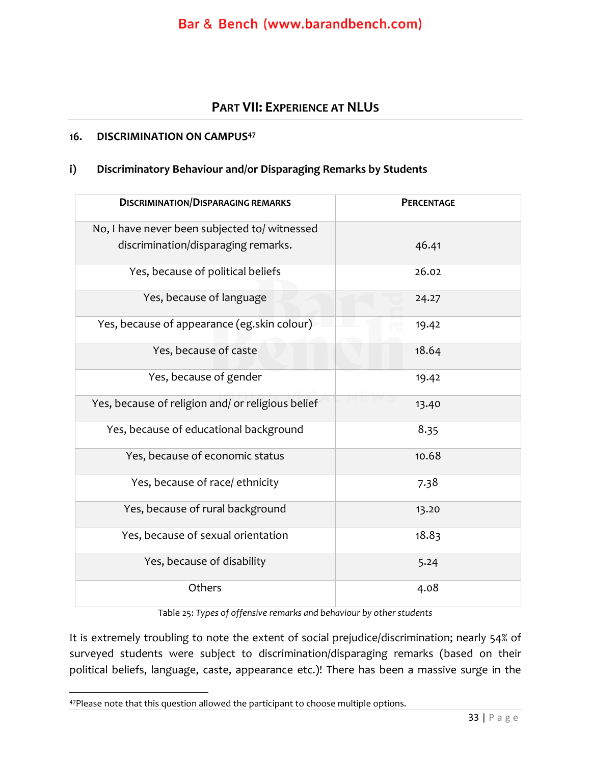### **PART VII: EXPERIENCE AT NLUS**

#### **16. DISCRIMINATION ON CAMPUS<sup>47</sup>**

#### **i) Discriminatory Behaviour and/or Disparaging Remarks by Students**

| <b>DISCRIMINATION/DISPARAGING REMARKS</b>         | <b>PERCENTAGE</b> |
|---------------------------------------------------|-------------------|
| No, I have never been subjected to/ witnessed     |                   |
| discrimination/disparaging remarks.               | 46.41             |
| Yes, because of political beliefs                 | 26.02             |
| Yes, because of language                          | 24.27             |
| Yes, because of appearance (eg.skin colour)       | 19.42             |
| Yes, because of caste                             | 18.64             |
| Yes, because of gender                            | 19.42             |
| Yes, because of religion and/ or religious belief | 13.40             |
| Yes, because of educational background            | 8.35              |
| Yes, because of economic status                   | 10.68             |
| Yes, because of race/ ethnicity                   | 7.38              |
| Yes, because of rural background                  | 13.20             |
| Yes, because of sexual orientation                | 18.83             |
| Yes, because of disability                        | 5.24              |
| Others                                            | 4.08              |

Table 25: *Types of offensive remarks and behaviour by other students*

It is extremely troubling to note the extent of social prejudice/discrimination; nearly 54% of surveyed students were subject to discrimination/disparaging remarks (based on their political beliefs, language, caste, appearance etc.)! There has been a massive surge in the

<sup>47</sup>Please note that this question allowed the participant to choose multiple options.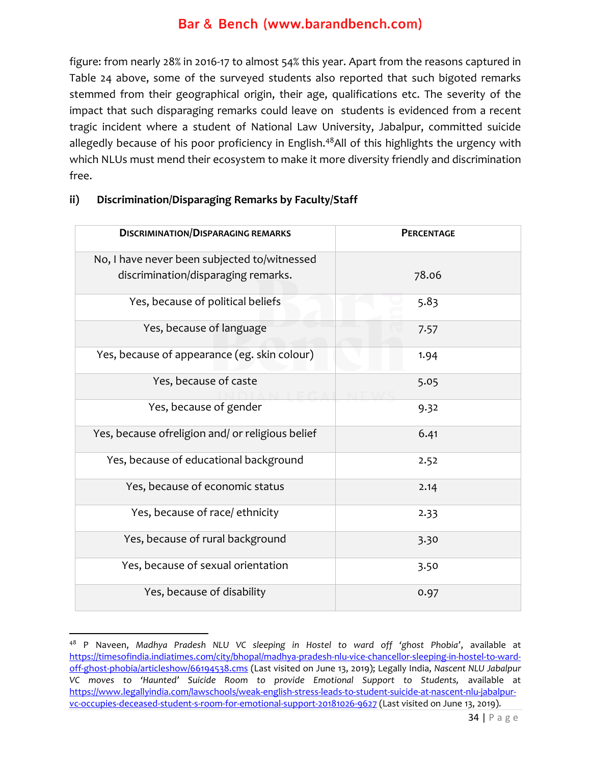figure: from nearly 28% in 2016-17 to almost 54% this year. Apart from the reasons captured in Table 24 above, some of the surveyed students also reported that such bigoted remarks stemmed from their geographical origin, their age, qualifications etc. The severity of the impact that such disparaging remarks could leave on students is evidenced from a recent tragic incident where a student of National Law University, Jabalpur, committed suicide allegedly because of his poor proficiency in English.<sup>48</sup>All of this highlights the urgency with which NLUs must mend their ecosystem to make it more diversity friendly and discrimination free.

| <b>DISCRIMINATION/DISPARAGING REMARKS</b>        | <b>PERCENTAGE</b> |
|--------------------------------------------------|-------------------|
| No, I have never been subjected to/witnessed     |                   |
| discrimination/disparaging remarks.              | 78.06             |
| Yes, because of political beliefs                | 5.83              |
| Yes, because of language                         | 7.57              |
| Yes, because of appearance (eg. skin colour)     | 1.94              |
| Yes, because of caste                            | 5.05              |
| Yes, because of gender                           | 9.32              |
| Yes, because ofreligion and/ or religious belief | 6.41              |
| Yes, because of educational background           | 2.52              |
| Yes, because of economic status                  | 2.14              |
| Yes, because of race/ ethnicity                  | 2.33              |
| Yes, because of rural background                 | 3.30              |
| Yes, because of sexual orientation               | 3.50              |
| Yes, because of disability                       | 0.97              |

#### **ii) Discrimination/Disparaging Remarks by Faculty/Staff**

<sup>48</sup> P Naveen, *Madhya Pradesh NLU VC sleeping in Hostel to ward off 'ghost Phobia'*, available at [https://timesofindia.indiatimes.com/city/bhopal/madhya-pradesh-nlu-vice-chancellor-sleeping-in-hostel-to-ward](https://timesofindia.indiatimes.com/city/bhopal/madhya-pradesh-nlu-vice-chancellor-sleeping-in-hostel-to-ward-off-ghost-phobia/articleshow/66194538.cms)[off-ghost-phobia/articleshow/66194538.cms](https://timesofindia.indiatimes.com/city/bhopal/madhya-pradesh-nlu-vice-chancellor-sleeping-in-hostel-to-ward-off-ghost-phobia/articleshow/66194538.cms) (Last visited on June 13, 2019); Legally India, *Nascent NLU Jabalpur*  VC moves to 'Haunted' Suicide Room to provide Emotional Support to Students, available at [https://www.legallyindia.com/lawschools/weak-english-stress-leads-to-student-suicide-at-nascent-nlu-jabalpur](https://www.legallyindia.com/lawschools/weak-english-stress-leads-to-student-suicide-at-nascent-nlu-jabalpur-vc-occupies-deceased-student-s-room-for-emotional-support-20181026-9627)[vc-occupies-deceased-student-s-room-for-emotional-support-20181026-9627](https://www.legallyindia.com/lawschools/weak-english-stress-leads-to-student-suicide-at-nascent-nlu-jabalpur-vc-occupies-deceased-student-s-room-for-emotional-support-20181026-9627) (Last visited on June 13, 2019).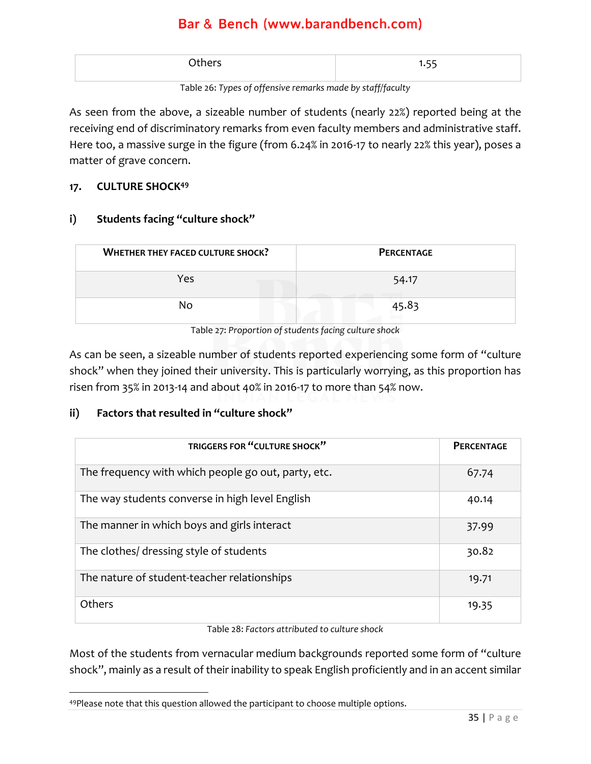| Others | $- -$ |
|--------|-------|
|        |       |

Table 26: *Types of offensive remarks made by staff/faculty*

As seen from the above, a sizeable number of students (nearly 22%) reported being at the receiving end of discriminatory remarks from even faculty members and administrative staff. Here too, a massive surge in the figure (from 6.24% in 2016-17 to nearly 22% this year), poses a matter of grave concern.

#### **17. CULTURE SHOCK<sup>49</sup>**

### **i) Students facing "culture shock"**

| <b>WHETHER THEY FACED CULTURE SHOCK?</b> | <b>PERCENTAGE</b> |
|------------------------------------------|-------------------|
| Yes                                      | 54.17             |
| Nο                                       | 45.83             |

Table 27: *Proportion of students facing culture shock*

As can be seen, a sizeable number of students reported experiencing some form of "culture shock" when they joined their university. This is particularly worrying, as this proportion has risen from 35% in 2013-14 and about 40% in 2016-17 to more than 54% now.

### **ii) Factors that resulted in "culture shock"**

| TRIGGERS FOR "CULTURE SHOCK"                        | <b>PERCENTAGE</b> |
|-----------------------------------------------------|-------------------|
| The frequency with which people go out, party, etc. | 67.74             |
| The way students converse in high level English     | 40.14             |
| The manner in which boys and girls interact         | 37.99             |
| The clothes/ dressing style of students             | 30.82             |
| The nature of student-teacher relationships         | 19.71             |
| Others                                              | 19.35             |

Table 28: *Factors attributed to culture shock*

Most of the students from vernacular medium backgrounds reported some form of "culture shock", mainly as a result of their inability to speak English proficiently and in an accent similar

<sup>49</sup>Please note that this question allowed the participant to choose multiple options.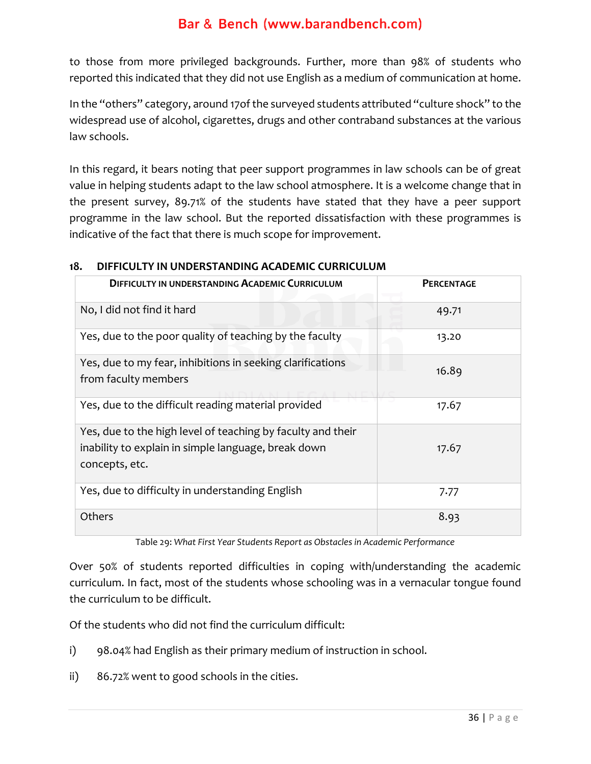to those from more privileged backgrounds. Further, more than 98% of students who reported this indicated that they did not use English as a medium of communication at home.

In the "others" category, around 17of the surveyed students attributed "culture shock" to the widespread use of alcohol, cigarettes, drugs and other contraband substances at the various law schools.

In this regard, it bears noting that peer support programmes in law schools can be of great value in helping students adapt to the law school atmosphere. It is a welcome change that in the present survey, 89.71% of the students have stated that they have a peer support programme in the law school. But the reported dissatisfaction with these programmes is indicative of the fact that there is much scope for improvement.

#### **18. DIFFICULTY IN UNDERSTANDING ACADEMIC CURRICULUM**

| <b>DIFFICULTY IN UNDERSTANDING ACADEMIC CURRICULUM</b>                                                                               | <b>PERCENTAGE</b> |
|--------------------------------------------------------------------------------------------------------------------------------------|-------------------|
| No, I did not find it hard                                                                                                           | 49.71             |
| Yes, due to the poor quality of teaching by the faculty                                                                              | 13.20             |
| Yes, due to my fear, inhibitions in seeking clarifications<br>from faculty members                                                   | 16.89             |
| Yes, due to the difficult reading material provided                                                                                  | 17.67             |
| Yes, due to the high level of teaching by faculty and their<br>inability to explain in simple language, break down<br>concepts, etc. | 17.67             |
| Yes, due to difficulty in understanding English                                                                                      | 7.77              |
| <b>Others</b>                                                                                                                        | 8.93              |

Table 29: *What First Year Students Report as Obstacles in Academic Performance*

Over 50% of students reported difficulties in coping with/understanding the academic curriculum. In fact, most of the students whose schooling was in a vernacular tongue found the curriculum to be difficult.

Of the students who did not find the curriculum difficult:

- i) 98.04% had English as their primary medium of instruction in school.
- ii) 86.72% went to good schools in the cities.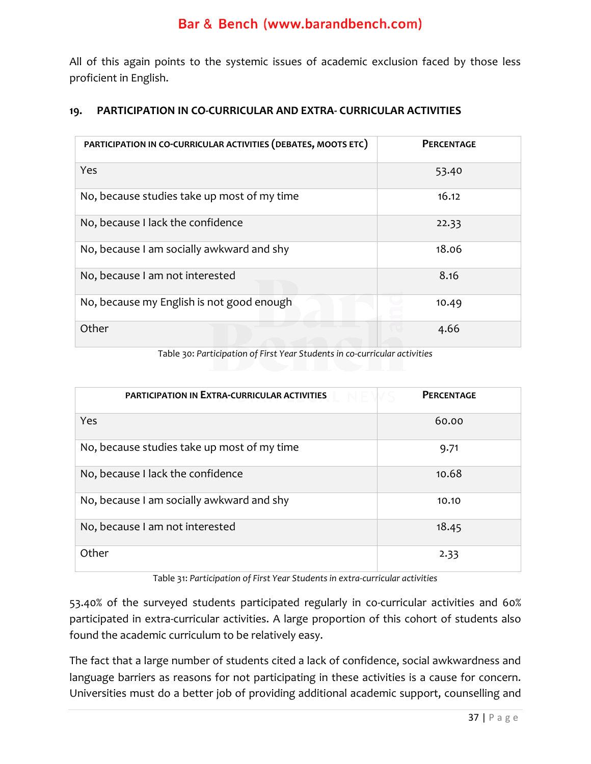All of this again points to the systemic issues of academic exclusion faced by those less proficient in English.

#### **19. PARTICIPATION IN CO-CURRICULAR AND EXTRA- CURRICULAR ACTIVITIES**

| PARTICIPATION IN CO-CURRICULAR ACTIVITIES (DEBATES, MOOTS ETC) | <b>PERCENTAGE</b> |
|----------------------------------------------------------------|-------------------|
| Yes                                                            | 53.40             |
| No, because studies take up most of my time                    | 16.12             |
| No, because I lack the confidence                              | 22.33             |
| No, because I am socially awkward and shy                      | 18.06             |
| No, because I am not interested                                | 8.16              |
| No, because my English is not good enough                      | 10.49             |
| Other                                                          | 4.66              |

Table 30: *Participation of First Year Students in co-curricular activities*

| <b>PARTICIPATION IN EXTRA-CURRICULAR ACTIVITIES</b> | <b>PERCENTAGE</b> |
|-----------------------------------------------------|-------------------|
| Yes                                                 | 60.00             |
| No, because studies take up most of my time         | 9.71              |
| No, because I lack the confidence                   | 10.68             |
| No, because I am socially awkward and shy           | 10.10             |
| No, because I am not interested                     | 18.45             |
| Other                                               | 2.33              |

Table 31: *Participation of First Year Students in extra-curricular activities*

53.40% of the surveyed students participated regularly in co-curricular activities and 60% participated in extra-curricular activities. A large proportion of this cohort of students also found the academic curriculum to be relatively easy.

The fact that a large number of students cited a lack of confidence, social awkwardness and language barriers as reasons for not participating in these activities is a cause for concern. Universities must do a better job of providing additional academic support, counselling and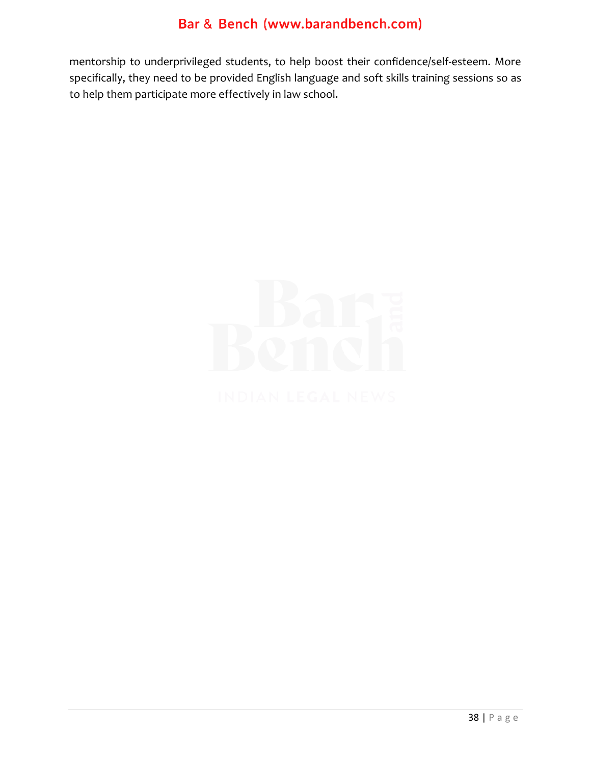mentorship to underprivileged students, to help boost their confidence/self-esteem. More specifically, they need to be provided English language and soft skills training sessions so as to help them participate more effectively in law school.

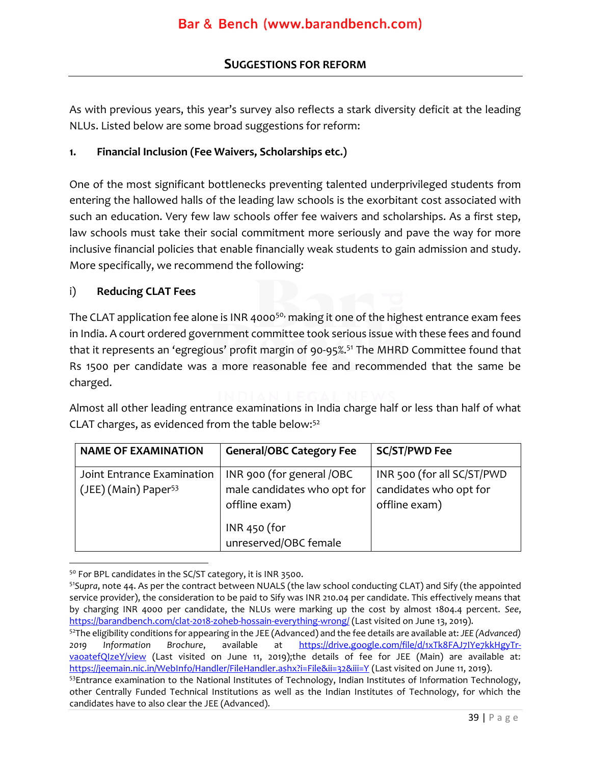### **SUGGESTIONS FOR REFORM**

<span id="page-39-0"></span>As with previous years, this year's survey also reflects a stark diversity deficit at the leading NLUs. Listed below are some broad suggestions for reform:

#### **1. Financial Inclusion (Fee Waivers, Scholarships etc.)**

One of the most significant bottlenecks preventing talented underprivileged students from entering the hallowed halls of the leading law schools is the exorbitant cost associated with such an education. Very few law schools offer fee waivers and scholarships. As a first step, law schools must take their social commitment more seriously and pave the way for more inclusive financial policies that enable financially weak students to gain admission and study. More specifically, we recommend the following:

#### i) **Reducing CLAT Fees**

The CLAT application fee alone is INR 4000<sup>50,</sup> making it one of the highest entrance exam fees in India. A court ordered government committee took serious issue with these fees and found that it represents an 'egregious' profit margin of 90-95%. <sup>51</sup> The MHRD Committee found that Rs 1500 per candidate was a more reasonable fee and recommended that the same be charged.

Almost all other leading entrance examinations in India charge half or less than half of what CLAT charges, as evidenced from the table below:<sup>52</sup>

| <b>NAME OF EXAMINATION</b>                                     | <b>General/OBC Category Fee</b>                          | <b>SC/ST/PWD Fee</b>                                 |
|----------------------------------------------------------------|----------------------------------------------------------|------------------------------------------------------|
| Joint Entrance Examination<br>(JEE) (Main) Paper <sup>53</sup> | INR 900 (for general /OBC<br>male candidates who opt for | INR 500 (for all SC/ST/PWD<br>candidates who opt for |
|                                                                | offline exam)                                            | offline exam)                                        |
|                                                                | $INR$ 450 (for<br>unreserved/OBC female                  |                                                      |

<sup>50</sup> For BPL candidates in the SC/ST category, it is INR 3500.

<sup>52</sup>The eligibility conditions for appearing in the JEE (Advanced) and the fee details are available at: *JEE (Advanced) 2019 Information Brochure*, available at [https://drive.google.com/file/d/1xTk8FAJ7IYe7kkHgyTr](https://drive.google.com/file/d/1xTk8FAJ7IYe7kkHgyTr-vaoatefQIzeY/view)[vaoatefQIzeY/view](https://drive.google.com/file/d/1xTk8FAJ7IYe7kkHgyTr-vaoatefQIzeY/view) (Last visited on June 11, 2019);the details of fee for JEE (Main) are available at: <https://jeemain.nic.in/WebInfo/Handler/FileHandler.ashx?i=File&ii=32&iii=Y> (Last visited on June 11, 2019).

<sup>51</sup>*Supra*, note 44. As per the contract between NUALS (the law school conducting CLAT) and Sify (the appointed service provider), the consideration to be paid to Sify was INR 210.04 per candidate. This effectively means that by charging INR 4000 per candidate, the NLUs were marking up the cost by almost 1804.4 percent. *See*, <https://barandbench.com/clat-2018-zoheb-hossain-everything-wrong/> (Last visited on June 13, 2019).

<sup>53</sup>Entrance examination to the National Institutes of Technology, Indian Institutes of Information Technology, other Centrally Funded Technical Institutions as well as the Indian Institutes of Technology, for which the candidates have to also clear the JEE (Advanced).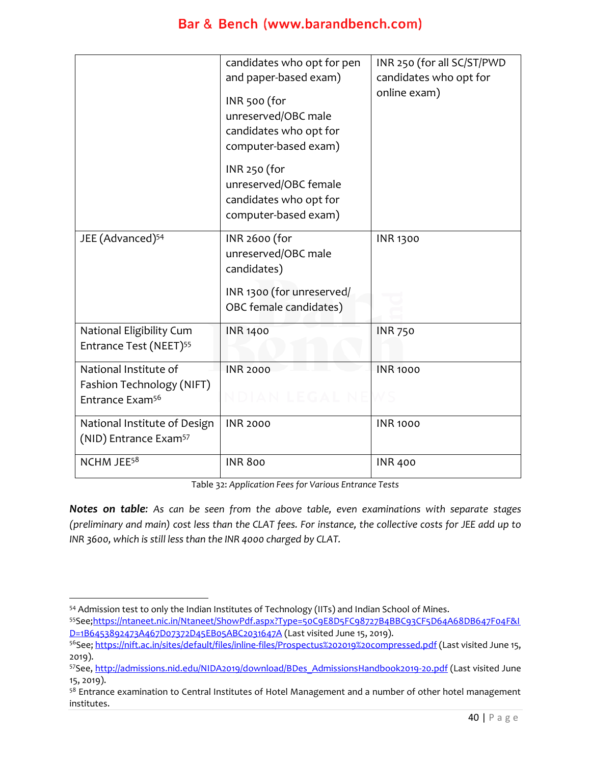|                                                                   | candidates who opt for pen                                                              | INR 250 (for all SC/ST/PWD |
|-------------------------------------------------------------------|-----------------------------------------------------------------------------------------|----------------------------|
|                                                                   | and paper-based exam)                                                                   | candidates who opt for     |
|                                                                   | INR 500 (for<br>unreserved/OBC male<br>candidates who opt for<br>computer-based exam)   | online exam)               |
|                                                                   | INR 250 (for<br>unreserved/OBC female<br>candidates who opt for<br>computer-based exam) |                            |
| JEE (Advanced) <sup>54</sup>                                      | INR 2600 (for<br>unreserved/OBC male<br>candidates)                                     | <b>INR 1300</b>            |
|                                                                   | INR 1300 (for unreserved/<br>OBC female candidates)                                     |                            |
| National Eligibility Cum<br>Entrance Test (NEET) <sup>55</sup>    | <b>INR 1400</b>                                                                         | <b>INR 750</b>             |
| National Institute of                                             | <b>INR 2000</b>                                                                         | <b>INR 1000</b>            |
| Fashion Technology (NIFT)<br>Entrance Exam <sup>56</sup>          | NDIAN LEGAL NE                                                                          |                            |
| National Institute of Design<br>(NID) Entrance Exam <sup>57</sup> | <b>INR 2000</b>                                                                         | <b>INR 1000</b>            |
| NCHM JEE <sup>58</sup>                                            | <b>INR 800</b>                                                                          | <b>INR 400</b>             |

Table 32: *Application Fees for Various Entrance Tests*

*Notes on table: As can be seen from the above table, even examinations with separate stages (preliminary and main) cost less than the CLAT fees. For instance, the collective costs for JEE add up to INR 3600, which is still less than the INR 4000 charged by CLAT.* 

<sup>&</sup>lt;sup>54</sup> Admission test to only the Indian Institutes of Technology (IITs) and Indian School of Mines.

<sup>55</sup>See[;https://ntaneet.nic.in/Ntaneet/ShowPdf.aspx?Type=50C9E8D5FC98727B4BBC93CF5D64A68DB647F04F&I](https://ntaneet.nic.in/Ntaneet/ShowPdf.aspx?Type=50C9E8D5FC98727B4BBC93CF5D64A68DB647F04F&ID=1B6453892473A467D07372D45EB05ABC2031647A) [D=1B6453892473A467D07372D45EB05ABC2031647A](https://ntaneet.nic.in/Ntaneet/ShowPdf.aspx?Type=50C9E8D5FC98727B4BBC93CF5D64A68DB647F04F&ID=1B6453892473A467D07372D45EB05ABC2031647A) (Last visited June 15, 2019).

<sup>56</sup>See[; https://nift.ac.in/sites/default/files/inline-files/Prospectus%202019%20compressed.pdf](https://nift.ac.in/sites/default/files/inline-files/Prospectus%202019%20compressed.pdf) (Last visited June 15, 2019).

<sup>57</sup>See[, http://admissions.nid.edu/NIDA2019/download/BDes\\_AdmissionsHandbook2019-20.pdf](http://admissions.nid.edu/NIDA2019/download/BDes_AdmissionsHandbook2019-20.pdf) (Last visited June 15, 2019).

<sup>58</sup> Entrance examination to Central Institutes of Hotel Management and a number of other hotel management institutes.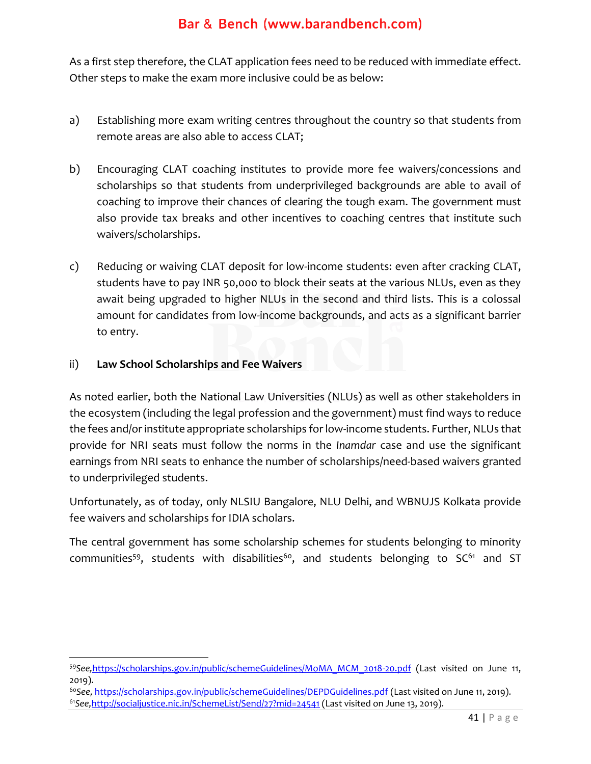As a first step therefore, the CLAT application fees need to be reduced with immediate effect. Other steps to make the exam more inclusive could be as below:

- a) Establishing more exam writing centres throughout the country so that students from remote areas are also able to access CLAT;
- b) Encouraging CLAT coaching institutes to provide more fee waivers/concessions and scholarships so that students from underprivileged backgrounds are able to avail of coaching to improve their chances of clearing the tough exam. The government must also provide tax breaks and other incentives to coaching centres that institute such waivers/scholarships.
- c) Reducing or waiving CLAT deposit for low-income students: even after cracking CLAT, students have to pay INR 50,000 to block their seats at the various NLUs, even as they await being upgraded to higher NLUs in the second and third lists. This is a colossal amount for candidates from low-income backgrounds, and acts as a significant barrier to entry.

#### ii) **Law School Scholarships and Fee Waivers**

As noted earlier, both the National Law Universities (NLUs) as well as other stakeholders in the ecosystem (including the legal profession and the government) must find ways to reduce the fees and/or institute appropriate scholarships for low-income students. Further, NLUs that provide for NRI seats must follow the norms in the *Inamdar* case and use the significant earnings from NRI seats to enhance the number of scholarships/need-based waivers granted to underprivileged students.

Unfortunately, as of today, only NLSIU Bangalore, NLU Delhi, and WBNUJS Kolkata provide fee waivers and scholarships for IDIA scholars.

The central government has some scholarship schemes for students belonging to minority communities<sup>59</sup>, students with disabilities<sup>60</sup>, and students belonging to  $SC^{61}$  and ST

<sup>59</sup>*See,*[https://scholarships.gov.in/public/schemeGuidelines/MoMA\\_MCM\\_2018-20.pdf](https://scholarships.gov.in/public/schemeGuidelines/MoMA_MCM_2018-20.pdf) (Last visited on June 11, 2019).

<sup>60</sup>*See,* <https://scholarships.gov.in/public/schemeGuidelines/DEPDGuidelines.pdf> (Last visited on June 11, 2019). <sup>61</sup>*See,*<http://socialjustice.nic.in/SchemeList/Send/27?mid=24541> (Last visited on June 13, 2019).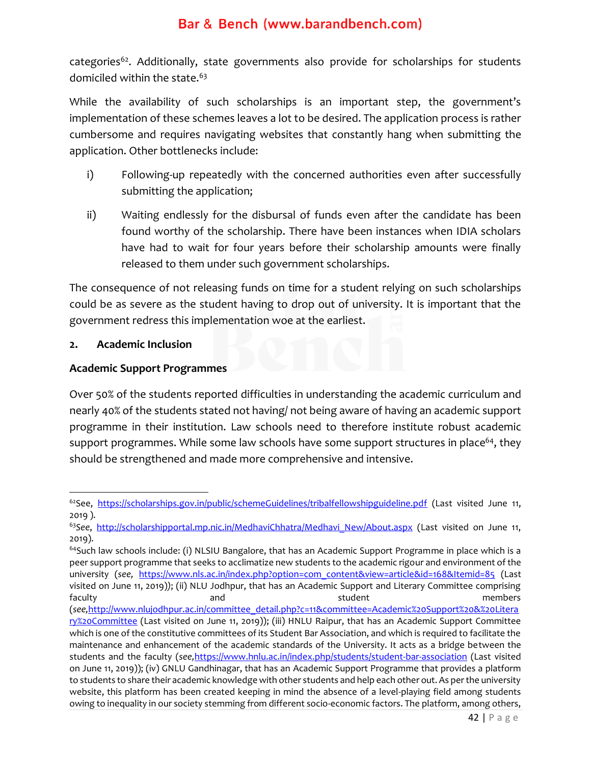categories<sup>62</sup>. Additionally, state governments also provide for scholarships for students domiciled within the state.<sup>63</sup>

While the availability of such scholarships is an important step, the government's implementation of these schemes leaves a lot to be desired. The application process is rather cumbersome and requires navigating websites that constantly hang when submitting the application. Other bottlenecks include:

- i) Following-up repeatedly with the concerned authorities even after successfully submitting the application;
- ii) Waiting endlessly for the disbursal of funds even after the candidate has been found worthy of the scholarship. There have been instances when IDIA scholars have had to wait for four years before their scholarship amounts were finally released to them under such government scholarships.

The consequence of not releasing funds on time for a student relying on such scholarships could be as severe as the student having to drop out of university. It is important that the government redress this implementation woe at the earliest.

#### **2. Academic Inclusion**

#### **Academic Support Programmes**

Over 50% of the students reported difficulties in understanding the academic curriculum and nearly 40% of the students stated not having/ not being aware of having an academic support programme in their institution. Law schools need to therefore institute robust academic support programmes. While some law schools have some support structures in place<sup>64</sup>, they should be strengthened and made more comprehensive and intensive.

on June 11, 2019)); (iv) GNLU Gandhinagar, that has an Academic Support Programme that provides a platform to students to share their academic knowledge with other students and help each other out. As per the university website, this platform has been created keeping in mind the absence of a level-playing field among students owing to inequality in our society stemming from different socio-economic factors. The platform, among others,

<sup>&</sup>lt;sup>62</sup>See, <https://scholarships.gov.in/public/schemeGuidelines/tribalfellowshipguideline.pdf> (Last visited June 11, 2019 ).

<sup>&</sup>lt;sup>63</sup>See, [http://scholarshipportal.mp.nic.in/MedhaviChhatra/Medhavi\\_New/About.aspx](http://scholarshipportal.mp.nic.in/MedhaviChhatra/Medhavi_New/About.aspx) (Last visited on June 11, 2019).

 $64$ Such law schools include: (i) NLSIU Bangalore, that has an Academic Support Programme in place which is a peer support programme that seeks to acclimatize new students to the academic rigour and environment of the university (see, [https://www.nls.ac.in/index.php?option=com\\_content&view=article&id=168&Itemid=85](https://www.nls.ac.in/index.php?option=com_content&view=article&id=168&Itemid=85) (Last visited on June 11, 2019)*)*; (ii) NLU Jodhpur, that has an Academic Support and Literary Committee comprising faculty and student members and student members (*see,*[http://www.nlujodhpur.ac.in/committee\\_detail.php?c=11&committee=Academic%20Support%20&%20Litera](http://www.nlujodhpur.ac.in/committee_detail.php?c=11&committee=Academic%20Support%20&%20Literary%20Committee) [ry%20Committee](http://www.nlujodhpur.ac.in/committee_detail.php?c=11&committee=Academic%20Support%20&%20Literary%20Committee) (Last visited on June 11, 2019)); (iii) HNLU Raipur, that has an Academic Support Committee which is one of the constitutive committees of its Student Bar Association, and which is required to facilitate the maintenance and enhancement of the academic standards of the University. It acts as a bridge between the students and the faculty (*see,*<https://www.hnlu.ac.in/index.php/students/student-bar-association> (Last visited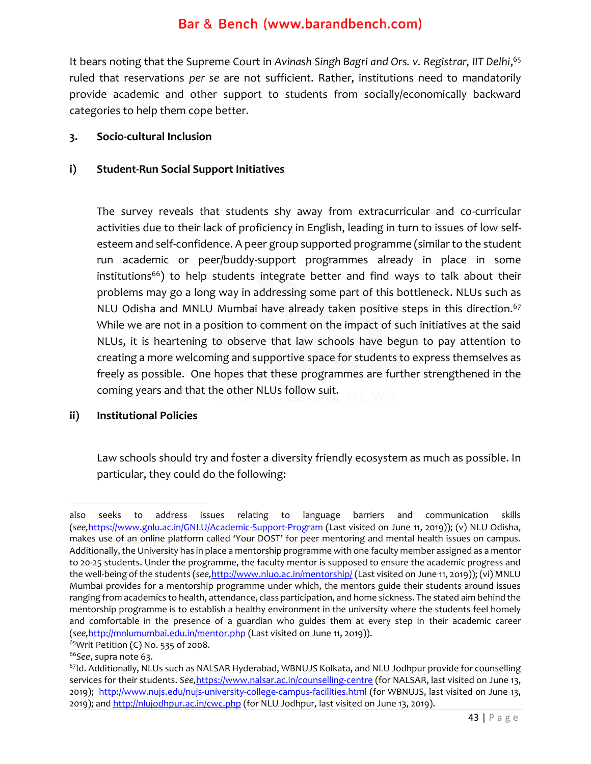It bears noting that the Supreme Court in *Avinash Singh Bagri and Ors. v. Registrar, IIT Delhi*, 65 ruled that reservations *per se* are not sufficient. Rather, institutions need to mandatorily provide academic and other support to students from socially/economically backward categories to help them cope better.

#### **3. Socio-cultural Inclusion**

#### **i) Student-Run Social Support Initiatives**

The survey reveals that students shy away from extracurricular and co-curricular activities due to their lack of proficiency in English, leading in turn to issues of low selfesteem and self-confidence. A peer group supported programme (similar to the student run academic or peer/buddy-support programmes already in place in some  $institutions<sup>66</sup>$ ) to help students integrate better and find ways to talk about their problems may go a long way in addressing some part of this bottleneck. NLUs such as NLU Odisha and MNLU Mumbai have already taken positive steps in this direction.<sup>67</sup> While we are not in a position to comment on the impact of such initiatives at the said NLUs, it is heartening to observe that law schools have begun to pay attention to creating a more welcoming and supportive space for students to express themselves as freely as possible. One hopes that these programmes are further strengthened in the coming years and that the other NLUs follow suit.

#### **ii) Institutional Policies**

Law schools should try and foster a diversity friendly ecosystem as much as possible. In particular, they could do the following:

also seeks to address issues relating to language barriers and communication skills (*see,*[https://www.gnlu.ac.in/GNLU/Academic-Support-Program](https://www.gnlu.ac.in/GNLU/Academic-Support-Programme) (Last visited on June 11, 2019)); (v) NLU Odisha, makes use of an online platform called 'Your DOST' for peer mentoring and mental health issues on campus. Additionally, the University has in place a mentorship programme with one faculty member assigned as a mentor to 20-25 students. Under the programme, the faculty mentor is supposed to ensure the academic progress and the well-being of the students (*see,*<http://www.nluo.ac.in/mentorship/> (Last visited on June 11, 2o19)); (vi) MNLU Mumbai provides for a mentorship programme under which, the mentors guide their students around issues ranging from academics to health, attendance, class participation, and home sickness. The stated aim behind the mentorship programme is to establish a healthy environment in the university where the students feel homely and comfortable in the presence of a guardian who guides them at every step in their academic career (*see,*<http://mnlumumbai.edu.in/mentor.php> (Last visited on June 11, 2o19)).

<sup>65</sup>Writ Petition (C) No. 535 of 2008.

<sup>66</sup>*See*, supra note 63.

<sup>&</sup>lt;sup>67</sup>Id. Additionally, NLUs such as NALSAR Hyderabad, WBNUJS Kolkata, and NLU Jodhpur provide for counselling services for their students. *See,*<https://www.nalsar.ac.in/counselling-centre> (for NALSAR, last visited on June 13, 2019); <http://www.nujs.edu/nujs-university-college-campus-facilities.html> (for WBNUJS, last visited on June 13, 2019); an[d http://nlujodhpur.ac.in/cwc.php](http://nlujodhpur.ac.in/cwc.php) (for NLU Jodhpur, last visited on June 13, 2019).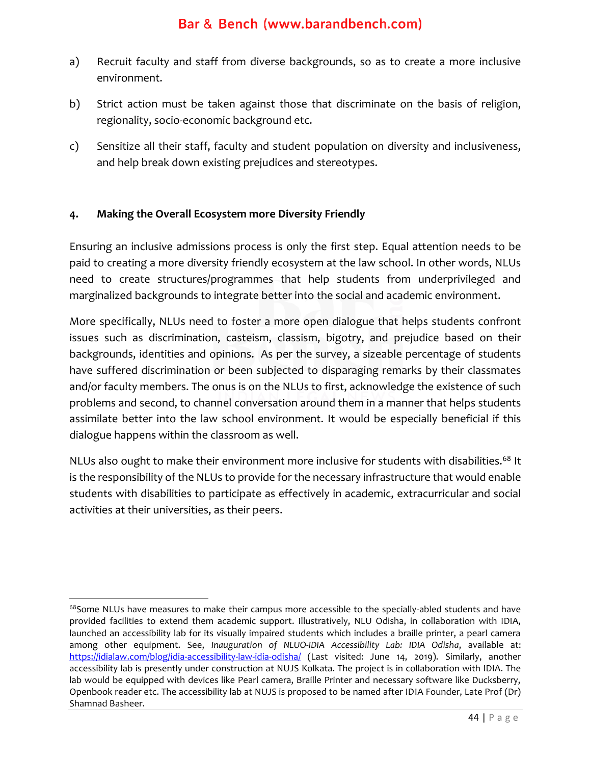- a) Recruit faculty and staff from diverse backgrounds, so as to create a more inclusive environment.
- b) Strict action must be taken against those that discriminate on the basis of religion, regionality, socio-economic background etc.
- c) Sensitize all their staff, faculty and student population on diversity and inclusiveness, and help break down existing prejudices and stereotypes.

#### **4. Making the Overall Ecosystem more Diversity Friendly**

Ensuring an inclusive admissions process is only the first step. Equal attention needs to be paid to creating a more diversity friendly ecosystem at the law school. In other words, NLUs need to create structures/programmes that help students from underprivileged and marginalized backgrounds to integrate better into the social and academic environment.

More specifically, NLUs need to foster a more open dialogue that helps students confront issues such as discrimination, casteism, classism, bigotry, and prejudice based on their backgrounds, identities and opinions. As per the survey, a sizeable percentage of students have suffered discrimination or been subjected to disparaging remarks by their classmates and/or faculty members. The onus is on the NLUs to first, acknowledge the existence of such problems and second, to channel conversation around them in a manner that helps students assimilate better into the law school environment. It would be especially beneficial if this dialogue happens within the classroom as well.

NLUs also ought to make their environment more inclusive for students with disabilities.<sup>68</sup> It is the responsibility of the NLUs to provide for the necessary infrastructure that would enable students with disabilities to participate as effectively in academic, extracurricular and social activities at their universities, as their peers.

<sup>&</sup>lt;sup>68</sup>Some NLUs have measures to make their campus more accessible to the specially-abled students and have provided facilities to extend them academic support. Illustratively, NLU Odisha, in collaboration with IDIA, launched an accessibility lab for its visually impaired students which includes a braille printer, a pearl camera among other equipment. See, *Inauguration of NLUO-IDIA Accessibility Lab: IDIA Odisha*, available at: <https://idialaw.com/blog/idia-accessibility-law-idia-odisha/> (Last visited: June 14, 2019). Similarly, another accessibility lab is presently under construction at NUJS Kolkata. The project is in collaboration with IDIA. The lab would be equipped with devices like Pearl camera, Braille Printer and necessary software like Ducksberry, Openbook reader etc. The accessibility lab at NUJS is proposed to be named after IDIA Founder, Late Prof (Dr) Shamnad Basheer.